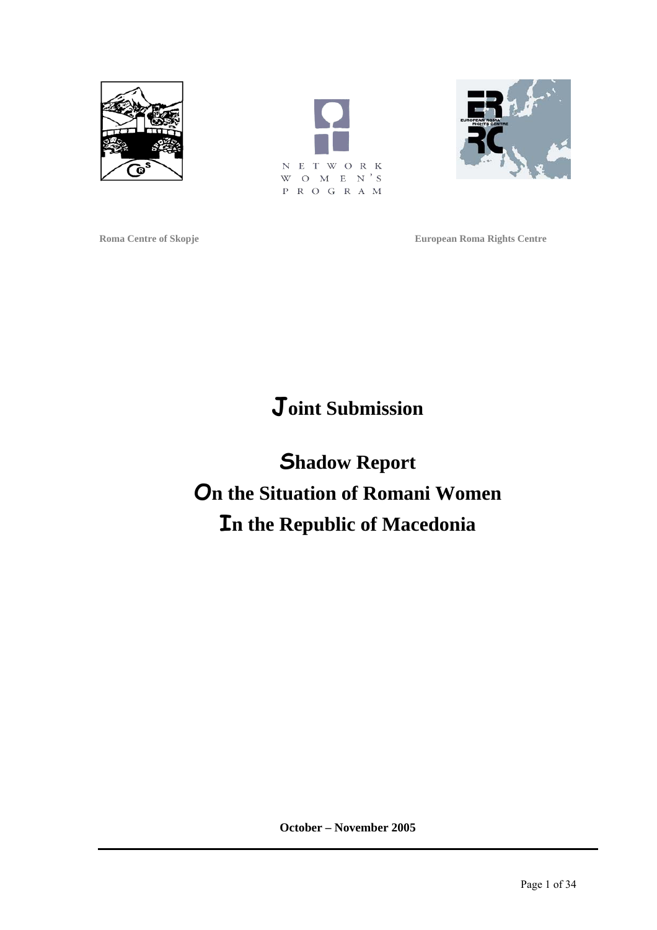





**Roma Centre of Skopje European Roma Rights Centre** 

# **Joint Submission**

**Shadow Report On the Situation of Romani Women In the Republic of Macedonia** 

**October – November 2005**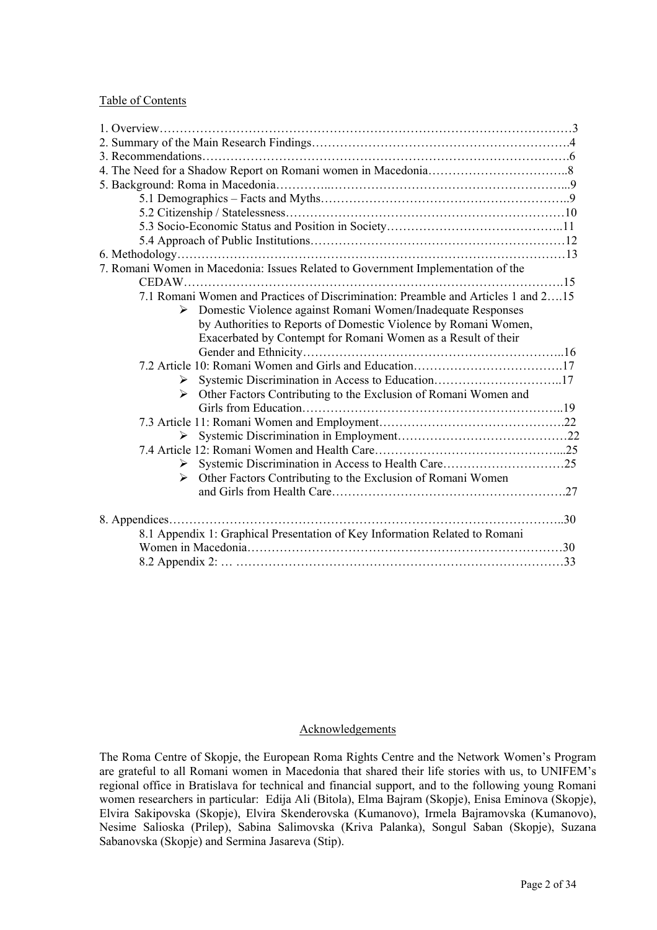#### Table of Contents

| 7. Romani Women in Macedonia: Issues Related to Government Implementation of the    |  |
|-------------------------------------------------------------------------------------|--|
|                                                                                     |  |
| 7.1 Romani Women and Practices of Discrimination: Preamble and Articles 1 and 215   |  |
| Domestic Violence against Romani Women/Inadequate Responses<br>≻                    |  |
| by Authorities to Reports of Domestic Violence by Romani Women,                     |  |
| Exacerbated by Contempt for Romani Women as a Result of their                       |  |
|                                                                                     |  |
|                                                                                     |  |
| Systemic Discrimination in Access to Education17<br>➤                               |  |
| Other Factors Contributing to the Exclusion of Romani Women and<br>$\triangleright$ |  |
|                                                                                     |  |
|                                                                                     |  |
| ≻                                                                                   |  |
|                                                                                     |  |
| ≻                                                                                   |  |
| > Other Factors Contributing to the Exclusion of Romani Women                       |  |
|                                                                                     |  |
|                                                                                     |  |
|                                                                                     |  |
| 8.1 Appendix 1: Graphical Presentation of Key Information Related to Romani         |  |
|                                                                                     |  |
|                                                                                     |  |

## Acknowledgements

The Roma Centre of Skopje, the European Roma Rights Centre and the Network Women's Program are grateful to all Romani women in Macedonia that shared their life stories with us, to UNIFEM's regional office in Bratislava for technical and financial support, and to the following young Romani women researchers in particular: Edija Ali (Bitola), Elma Bajram (Skopje), Enisa Eminova (Skopje), Elvira Sakipovska (Skopje), Elvira Skenderovska (Kumanovo), Irmela Bajramovska (Kumanovo), Nesime Salioska (Prilep), Sabina Salimovska (Kriva Palanka), Songul Saban (Skopje), Suzana Sabanovska (Skopje) and Sermina Jasareva (Stip).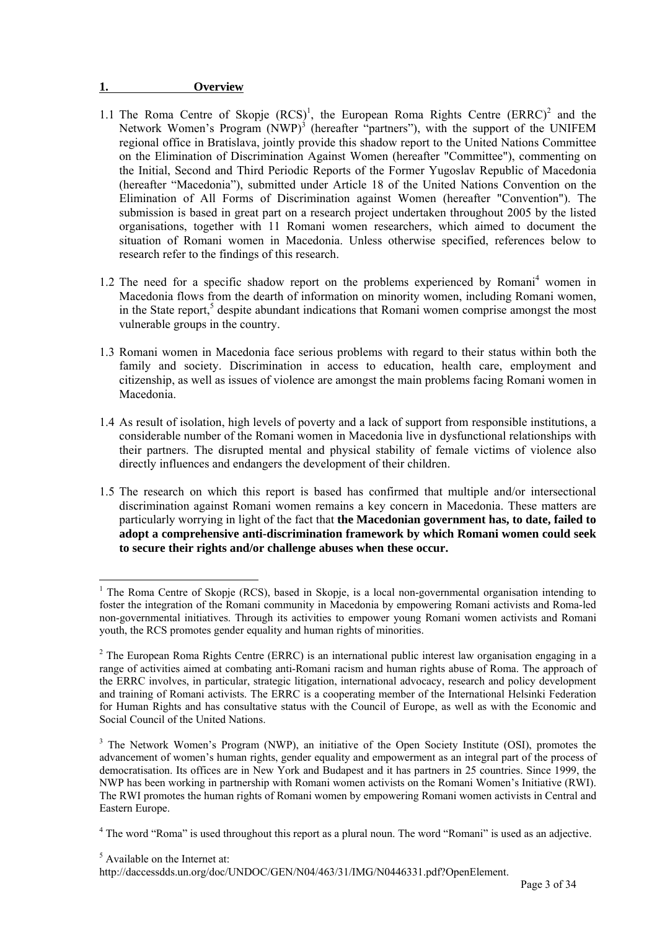#### **1. Overview**

- 1.1The Roma Centre of Skopje  $(RCS)^1$ [,](#page-2-0) the European Roma Rights Centre  $(RRRC)^2$  and the Network Women's Program (NWP)<sup>[3](#page-2-2)</sup> (hereafter "partners"), with the support of the UNIFEM regional office in Bratislava, jointly provide this shadow report to the United Nations Committee on the Elimination of Discrimination Against Women (hereafter "Committee"), commenting on the Initial, Second and Third Periodic Reports of the Former Yugoslav Republic of Macedonia (hereafter "Macedonia"), submitted under Article 18 of the United Nations Convention on the Elimination of All Forms of Discrimination against Women (hereafter "Convention"). The submission is based in great part on a research project undertaken throughout 2005 by the listed organisations, together with 11 Romani women researchers, which aimed to document the situation of Romani women in Macedonia. Unless otherwise specified, references below to research refer to the findings of this research.
- 1.2 The need for a specific shadow report on the problems experienced by Romani<sup>[4](#page-2-3)</sup> women in Macedonia flows from the dearth of information on minority women, including Romani women, inthe State report,<sup>5</sup> despite abundant indications that Romani women comprise amongst the most vulnerable groups in the country.
- 1.3 Romani women in Macedonia face serious problems with regard to their status within both the family and society. Discrimination in access to education, health care, employment and citizenship, as well as issues of violence are amongst the main problems facing Romani women in Macedonia.
- 1.4 As result of isolation, high levels of poverty and a lack of support from responsible institutions, a considerable number of the Romani women in Macedonia live in dysfunctional relationships with their partners. The disrupted mental and physical stability of female victims of violence also directly influences and endangers the development of their children.
- 1.5 The research on which this report is based has confirmed that multiple and/or intersectional discrimination against Romani women remains a key concern in Macedonia. These matters are particularly worrying in light of the fact that **the Macedonian government has, to date, failed to adopt a comprehensive anti-discrimination framework by which Romani women could seek to secure their rights and/or challenge abuses when these occur.**

 $\overline{a}$ 

http://daccessdds.un.org/doc/UNDOC/GEN/N04/463/31/IMG/N0446331.pdf?OpenElement.

<span id="page-2-0"></span><sup>&</sup>lt;sup>1</sup> The Roma Centre of Skopje (RCS), based in Skopje, is a local non-governmental organisation intending to foster the integration of the Romani community in Macedonia by empowering Romani activists and Roma-led non-governmental initiatives. Through its activities to empower young Romani women activists and Romani youth, the RCS promotes gender equality and human rights of minorities.

<span id="page-2-1"></span> $2$  The European Roma Rights Centre (ERRC) is an international public interest law organisation engaging in a range of activities aimed at combating anti-Romani racism and human rights abuse of Roma. The approach of the ERRC involves, in particular, strategic litigation, international advocacy, research and policy development and training of Romani activists. The ERRC is a cooperating member of the International Helsinki Federation for Human Rights and has consultative status with the Council of Europe, as well as with the Economic and Social Council of the United Nations.

<span id="page-2-2"></span><sup>&</sup>lt;sup>3</sup> The Network Women's Program (NWP), an initiative of the Open Society Institute (OSI), promotes the advancement of women's human rights, gender equality and empowerment as an integral part of the process of democratisation. Its offices are in New York and Budapest and it has partners in 25 countries. Since 1999, the NWP has been working in partnership with Romani women activists on the Romani Women's Initiative (RWI). The RWI promotes the human rights of Romani women by empowering Romani women activists in Central and Eastern Europe.

<span id="page-2-3"></span><sup>&</sup>lt;sup>4</sup> The word "Roma" is used throughout this report as a plural noun. The word "Romani" is used as an adjective.

<span id="page-2-4"></span><sup>5</sup> Available on the Internet at: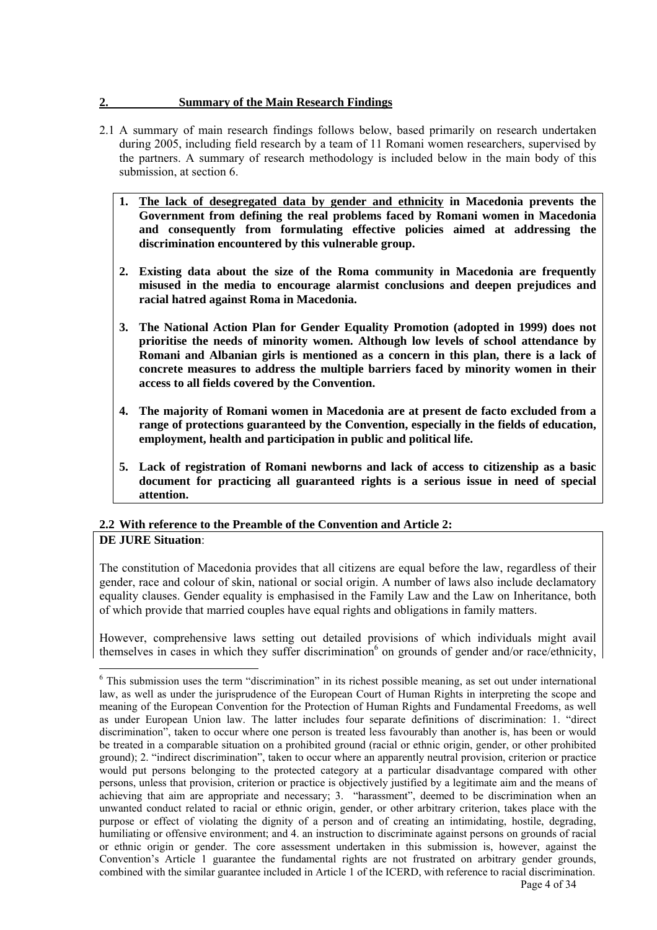## **2. Summary of the Main Research Findings**

- 2.1 A summary of main research findings follows below, based primarily on research undertaken during 2005, including field research by a team of 11 Romani women researchers, supervised by the partners. A summary of research methodology is included below in the main body of this submission, at section 6.
	- **1. The lack of desegregated data by gender and ethnicity in Macedonia prevents the Government from defining the real problems faced by Romani women in Macedonia and consequently from formulating effective policies aimed at addressing the discrimination encountered by this vulnerable group.**
	- **2. Existing data about the size of the Roma community in Macedonia are frequently misused in the media to encourage alarmist conclusions and deepen prejudices and racial hatred against Roma in Macedonia.**
	- **3. The National Action Plan for Gender Equality Promotion (adopted in 1999) does not prioritise the needs of minority women. Although low levels of school attendance by Romani and Albanian girls is mentioned as a concern in this plan, there is a lack of concrete measures to address the multiple barriers faced by minority women in their access to all fields covered by the Convention.**
	- **4. The majority of Romani women in Macedonia are at present de facto excluded from a range of protections guaranteed by the Convention, especially in the fields of education, employment, health and participation in public and political life.**
	- **5. Lack of registration of Romani newborns and lack of access to citizenship as a basic document for practicing all guaranteed rights is a serious issue in need of special attention.**

#### **2.2 With reference to the Preamble of the Convention and Article 2: DE JURE Situation**:

The constitution of Macedonia provides that all citizens are equal before the law, regardless of their gender, race and colour of skin, national or social origin. A number of laws also include declamatory equality clauses. Gender equality is emphasised in the Family Law and the Law on Inheritance, both of which provide that married couples have equal rights and obligations in family matters.

However, comprehensive laws setting out detailed provisions of which individuals might avail themselves in cases in which they suffer discrimination<sup>[6](#page-3-0)</sup> on grounds of gender and/or race/ethnicity,

<span id="page-3-0"></span> $\overline{a}$ <sup>6</sup> This submission uses the term "discrimination" in its richest possible meaning, as set out under international law, as well as under the jurisprudence of the European Court of Human Rights in interpreting the scope and meaning of the European Convention for the Protection of Human Rights and Fundamental Freedoms, as well as under European Union law. The latter includes four separate definitions of discrimination: 1. "direct discrimination", taken to occur where one person is treated less favourably than another is, has been or would be treated in a comparable situation on a prohibited ground (racial or ethnic origin, gender, or other prohibited ground); 2. "indirect discrimination", taken to occur where an apparently neutral provision, criterion or practice would put persons belonging to the protected category at a particular disadvantage compared with other persons, unless that provision, criterion or practice is objectively justified by a legitimate aim and the means of achieving that aim are appropriate and necessary; 3. "harassment", deemed to be discrimination when an unwanted conduct related to racial or ethnic origin, gender, or other arbitrary criterion, takes place with the purpose or effect of violating the dignity of a person and of creating an intimidating, hostile, degrading, humiliating or offensive environment; and 4. an instruction to discriminate against persons on grounds of racial or ethnic origin or gender. The core assessment undertaken in this submission is, however, against the Convention's Article 1 guarantee the fundamental rights are not frustrated on arbitrary gender grounds, combined with the similar guarantee included in Article 1 of the ICERD, with reference to racial discrimination.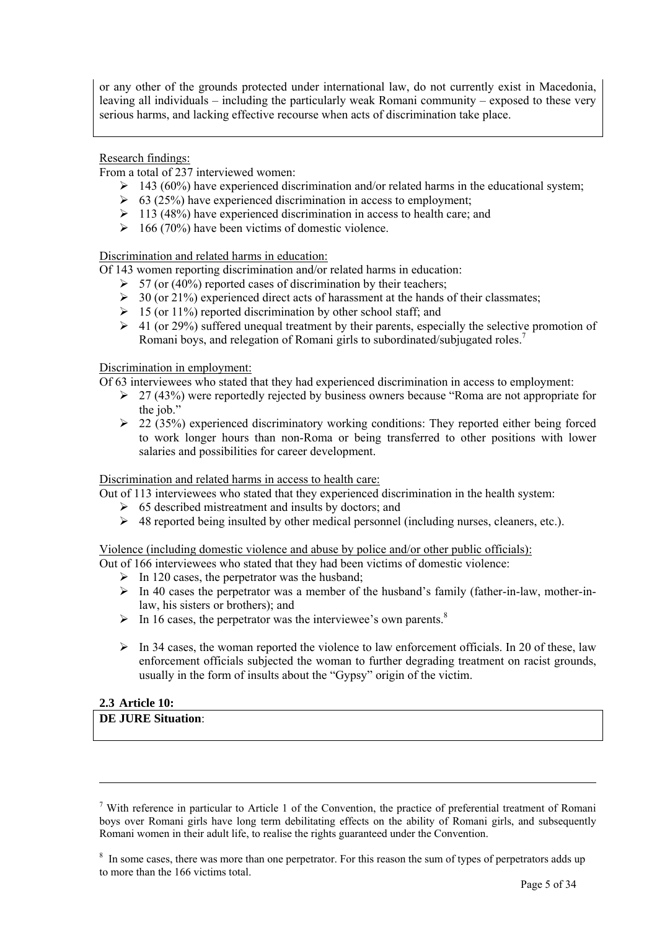or any other of the grounds protected under international law, do not currently exist in Macedonia, leaving all individuals – including the particularly weak Romani community – exposed to these very serious harms, and lacking effective recourse when acts of discrimination take place.

## Research findings:

From a total of 237 interviewed women:

- $\geq$  143 (60%) have experienced discrimination and/or related harms in the educational system;
- $\geq 63$  (25%) have experienced discrimination in access to employment;
- $\geq 113$  (48%) have experienced discrimination in access to health care; and
- $\geq 166$  (70%) have been victims of domestic violence.

#### Discrimination and related harms in education:

Of 143 women reporting discrimination and/or related harms in education:

- $\geq$  57 (or (40%) reported cases of discrimination by their teachers;
- $\geq 30$  (or 21%) experienced direct acts of harassment at the hands of their classmates;
- $\geq 15$  (or 11%) reported discrimination by other school staff; and
- $\geq 41$  (or 29%) suffered unequal treatment by their parents, especially the selective promotion of Romani boys, and relegation of Romani girls to subordinated/subjugated roles.[7](#page-4-0)

#### Discrimination in employment:

- Of 63 interviewees who stated that they had experienced discrimination in access to employment:
	- $\geq$  27 (43%) were reportedly rejected by business owners because "Roma are not appropriate for the job."
	- $\geq$  22 (35%) experienced discriminatory working conditions: They reported either being forced to work longer hours than non-Roma or being transferred to other positions with lower salaries and possibilities for career development.

#### Discrimination and related harms in access to health care:

Out of 113 interviewees who stated that they experienced discrimination in the health system:

- $\geq 65$  described mistreatment and insults by doctors; and
- $\triangleright$  48 reported being insulted by other medical personnel (including nurses, cleaners, etc.).

Violence (including domestic violence and abuse by police and/or other public officials):

- Out of 166 interviewees who stated that they had been victims of domestic violence:
	- $\triangleright$  In 120 cases, the perpetrator was the husband;
	- $\triangleright$  In 40 cases the perpetrator was a member of the husband's family (father-in-law, mother-inlaw, his sisters or brothers); and
	- $\triangleright$  In 16 cases, the perpetrator was the interviewee's own parents.<sup>[8](#page-4-1)</sup>
	- $\triangleright$  In 34 cases, the woman reported the violence to law enforcement officials. In 20 of these, law enforcement officials subjected the woman to further degrading treatment on racist grounds, usually in the form of insults about the "Gypsy" origin of the victim.

# **2.3 Article 10:**

 $\overline{a}$ 

# **DE JURE Situation**:

<span id="page-4-0"></span><sup>&</sup>lt;sup>7</sup> With reference in particular to Article 1 of the Convention, the practice of preferential treatment of Romani boys over Romani girls have long term debilitating effects on the ability of Romani girls, and subsequently Romani women in their adult life, to realise the rights guaranteed under the Convention.

<span id="page-4-1"></span><sup>&</sup>lt;sup>8</sup> In some cases, there was more than one perpetrator. For this reason the sum of types of perpetrators adds up to more than the 166 victims total.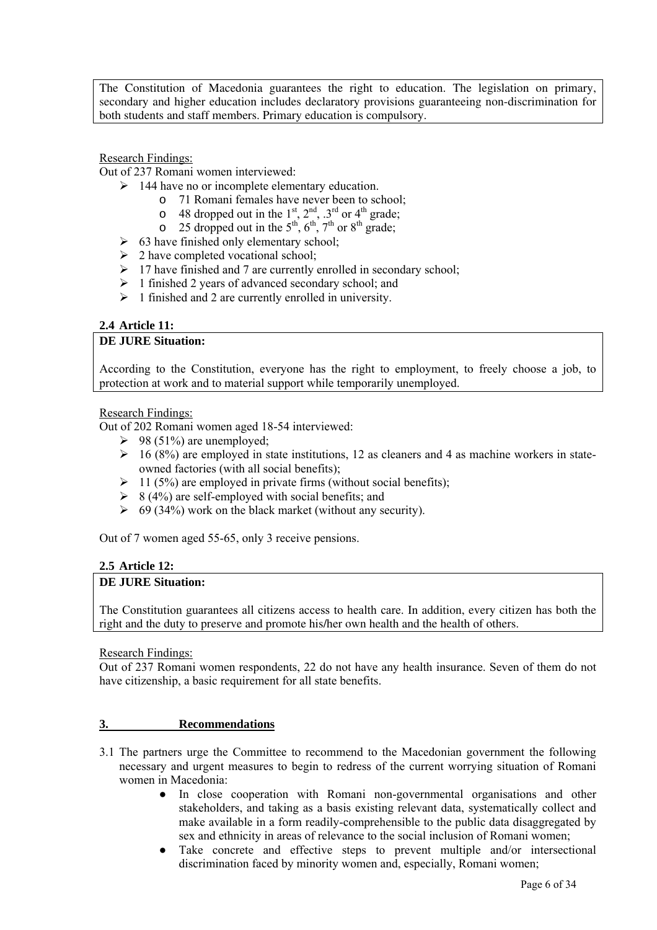The Constitution of Macedonia guarantees the right to education. The legislation on primary, secondary and higher education includes declaratory provisions guaranteeing non-discrimination for both students and staff members. Primary education is compulsory.

## Research Findings:

Out of 237 Romani women interviewed:

- $\geq$  144 have no or incomplete elementary education.
	- o 71 Romani females have never been to school;
	- o 48 dropped out in the  $1<sup>st</sup>$ ,  $2<sup>nd</sup>$ ,  $3<sup>rd</sup>$  or  $4<sup>th</sup>$  grade;
	- o 25 dropped out in the  $5<sup>th</sup>$ ,  $6<sup>th</sup>$ ,  $7<sup>th</sup>$  or  $8<sup>th</sup>$  grade;
- $\geq$  63 have finished only elementary school;
- $\geq 2$  have completed vocational school;
- $\geq 17$  have finished and 7 are currently enrolled in secondary school:
- $\geq 1$  finished 2 years of advanced secondary school; and
- $\geq 1$  finished and 2 are currently enrolled in university.

# **2.4 Article 11:**

#### **DE JURE Situation:**

According to the Constitution, everyone has the right to employment, to freely choose a job, to protection at work and to material support while temporarily unemployed.

## Research Findings:

Out of 202 Romani women aged 18-54 interviewed:

- $\geq$  98 (51%) are unemployed;
- $\geq$  16 (8%) are employed in state institutions, 12 as cleaners and 4 as machine workers in stateowned factories (with all social benefits);
- $\geq 11$  (5%) are employed in private firms (without social benefits);
- $\geq$  8 (4%) are self-employed with social benefits; and
- $\geq$  69 (34%) work on the black market (without any security).

Out of 7 women aged 55-65, only 3 receive pensions.

#### **2.5 Article 12:**

#### **DE JURE Situation:**

The Constitution guarantees all citizens access to health care. In addition, every citizen has both the right and the duty to preserve and promote his/her own health and the health of others.

Research Findings:

Out of 237 Romani women respondents, 22 do not have any health insurance. Seven of them do not have citizenship, a basic requirement for all state benefits.

#### **3. Recommendations**

- 3.1 The partners urge the Committee to recommend to the Macedonian government the following necessary and urgent measures to begin to redress of the current worrying situation of Romani women in Macedonia:
	- In close cooperation with Romani non-governmental organisations and other stakeholders, and taking as a basis existing relevant data, systematically collect and make available in a form readily-comprehensible to the public data disaggregated by sex and ethnicity in areas of relevance to the social inclusion of Romani women;
	- Take concrete and effective steps to prevent multiple and/or intersectional discrimination faced by minority women and, especially, Romani women;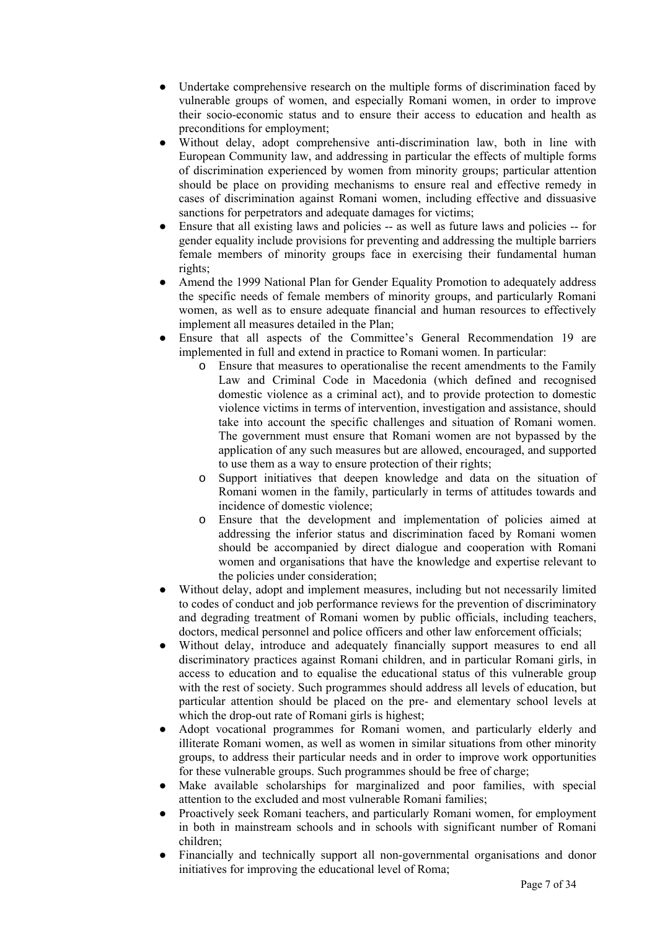- Undertake comprehensive research on the multiple forms of discrimination faced by vulnerable groups of women, and especially Romani women, in order to improve their socio-economic status and to ensure their access to education and health as preconditions for employment;
- Without delay, adopt comprehensive anti-discrimination law, both in line with European Community law, and addressing in particular the effects of multiple forms of discrimination experienced by women from minority groups; particular attention should be place on providing mechanisms to ensure real and effective remedy in cases of discrimination against Romani women, including effective and dissuasive sanctions for perpetrators and adequate damages for victims;
- Ensure that all existing laws and policies -- as well as future laws and policies -- for gender equality include provisions for preventing and addressing the multiple barriers female members of minority groups face in exercising their fundamental human rights;
- Amend the 1999 National Plan for Gender Equality Promotion to adequately address the specific needs of female members of minority groups, and particularly Romani women, as well as to ensure adequate financial and human resources to effectively implement all measures detailed in the Plan;
- Ensure that all aspects of the Committee's General Recommendation 19 are implemented in full and extend in practice to Romani women. In particular:
	- o Ensure that measures to operationalise the recent amendments to the Family Law and Criminal Code in Macedonia (which defined and recognised domestic violence as a criminal act), and to provide protection to domestic violence victims in terms of intervention, investigation and assistance, should take into account the specific challenges and situation of Romani women. The government must ensure that Romani women are not bypassed by the application of any such measures but are allowed, encouraged, and supported to use them as a way to ensure protection of their rights;
	- o Support initiatives that deepen knowledge and data on the situation of Romani women in the family, particularly in terms of attitudes towards and incidence of domestic violence;
	- o Ensure that the development and implementation of policies aimed at addressing the inferior status and discrimination faced by Romani women should be accompanied by direct dialogue and cooperation with Romani women and organisations that have the knowledge and expertise relevant to the policies under consideration;
- Without delay, adopt and implement measures, including but not necessarily limited to codes of conduct and job performance reviews for the prevention of discriminatory and degrading treatment of Romani women by public officials, including teachers, doctors, medical personnel and police officers and other law enforcement officials;
- Without delay, introduce and adequately financially support measures to end all discriminatory practices against Romani children, and in particular Romani girls, in access to education and to equalise the educational status of this vulnerable group with the rest of society. Such programmes should address all levels of education, but particular attention should be placed on the pre- and elementary school levels at which the drop-out rate of Romani girls is highest;
- Adopt vocational programmes for Romani women, and particularly elderly and illiterate Romani women, as well as women in similar situations from other minority groups, to address their particular needs and in order to improve work opportunities for these vulnerable groups. Such programmes should be free of charge;
- Make available scholarships for marginalized and poor families, with special attention to the excluded and most vulnerable Romani families;
- Proactively seek Romani teachers, and particularly Romani women, for employment in both in mainstream schools and in schools with significant number of Romani children;
- Financially and technically support all non-governmental organisations and donor initiatives for improving the educational level of Roma;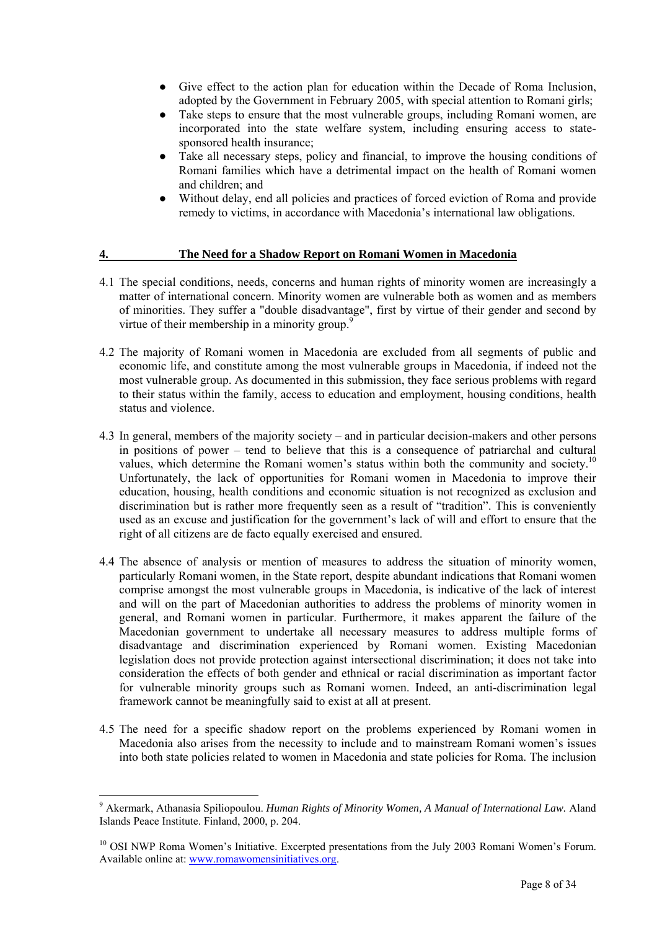- Give effect to the action plan for education within the Decade of Roma Inclusion, adopted by the Government in February 2005, with special attention to Romani girls;
- Take steps to ensure that the most vulnerable groups, including Romani women, are incorporated into the state welfare system, including ensuring access to state sponsored health insurance;
- Take all necessary steps, policy and financial, to improve the housing conditions of Romani families which have a detrimental impact on the health of Romani women and children; and
- Without delay, end all policies and practices of forced eviction of Roma and provide remedy to victims, in accordance with Macedonia's international law obligations.

#### **4. The Need for a Shadow Report on Romani Women in Macedonia**

- 4.1 The special conditions, needs, concerns and human rights of minority women are increasingly a matter of international concern. Minority women are vulnerable both as women and as members of minorities. They suffer a "double disadvantage", first by virtue of their gender and second by virtue of their membership in a minority group. $9^{\circ}$  $9^{\circ}$
- 4.2 The majority of Romani women in Macedonia are excluded from all segments of public and economic life, and constitute among the most vulnerable groups in Macedonia, if indeed not the most vulnerable group. As documented in this submission, they face serious problems with regard to their status within the family, access to education and employment, housing conditions, health status and violence.
- 4.3 In general, members of the majority society and in particular decision-makers and other persons in positions of power – tend to believe that this is a consequence of patriarchal and cultural values, which determine the Romani women's status within both the community and society.<sup>10</sup> Unfortunately, the lack of opportunities for Romani women in Macedonia to improve their education, housing, health conditions and economic situation is not recognized as exclusion and discrimination but is rather more frequently seen as a result of "tradition". This is conveniently used as an excuse and justification for the government's lack of will and effort to ensure that the right of all citizens are de facto equally exercised and ensured.
- 4.4 The absence of analysis or mention of measures to address the situation of minority women, particularly Romani women, in the State report, despite abundant indications that Romani women comprise amongst the most vulnerable groups in Macedonia, is indicative of the lack of interest and will on the part of Macedonian authorities to address the problems of minority women in general, and Romani women in particular. Furthermore, it makes apparent the failure of the Macedonian government to undertake all necessary measures to address multiple forms of disadvantage and discrimination experienced by Romani women. Existing Macedonian legislation does not provide protection against intersectional discrimination; it does not take into consideration the effects of both gender and ethnical or racial discrimination as important factor for vulnerable minority groups such as Romani women. Indeed, an anti-discrimination legal framework cannot be meaningfully said to exist at all at present.
- 4.5 The need for a specific shadow report on the problems experienced by Romani women in Macedonia also arises from the necessity to include and to mainstream Romani women's issues into both state policies related to women in Macedonia and state policies for Roma. The inclusion

<span id="page-7-0"></span><sup>&</sup>lt;sup>9</sup> Akermark, Athanasia Spiliopoulou. *Human Rights of Minority Women, A Manual of International Law.* Aland Islands Peace Institute. Finland, 2000, p. 204.

<span id="page-7-1"></span><sup>&</sup>lt;sup>10</sup> OSI NWP Roma Women's Initiative. Excerpted presentations from the July 2003 Romani Women's Forum. Available online at: [www.romawomensinitiatives.org.](http://www.romawomensinitiatives.org/)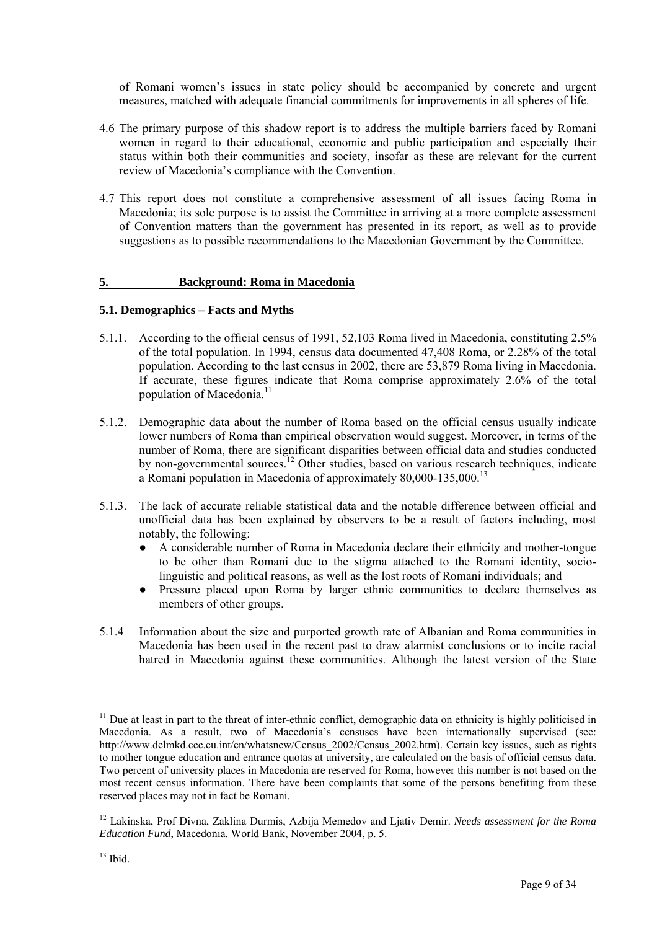of Romani women's issues in state policy should be accompanied by concrete and urgent measures, matched with adequate financial commitments for improvements in all spheres of life.

- 4.6 The primary purpose of this shadow report is to address the multiple barriers faced by Romani women in regard to their educational, economic and public participation and especially their status within both their communities and society, insofar as these are relevant for the current review of Macedonia's compliance with the Convention.
- 4.7 This report does not constitute a comprehensive assessment of all issues facing Roma in Macedonia; its sole purpose is to assist the Committee in arriving at a more complete assessment of Convention matters than the government has presented in its report, as well as to provide suggestions as to possible recommendations to the Macedonian Government by the Committee.

#### **5. Background: Roma in Macedonia**

#### **5.1. Demographics – Facts and Myths**

- 5.1.1. According to the official census of 1991, 52,103 Roma lived in Macedonia, constituting 2.5% of the total population. In 1994, census data documented 47,408 Roma, or 2.28% of the total population. According to the last census in 2002, there are 53,879 Roma living in Macedonia. If accurate, these figures indicate that Roma comprise approximately 2.6% of the total population of Macedonia.<sup>11</sup>
- 5.1.2. Demographic data about the number of Roma based on the official census usually indicate lower numbers of Roma than empirical observation would suggest. Moreover, in terms of the number of Roma, there are significant disparities between official data and studies conducted by non-governmental sources.<sup>12</sup> Other studies, based on various research techniques, indicate a Romani population in Macedonia of approximately 80,000-135,000.[13](#page-8-2)
- 5.1.3. The lack of accurate reliable statistical data and the notable difference between official and unofficial data has been explained by observers to be a result of factors including, most notably, the following:
	- A considerable number of Roma in Macedonia declare their ethnicity and mother-tongue to be other than Romani due to the stigma attached to the Romani identity, socio linguistic and political reasons, as well as the lost roots of Romani individuals; and
	- Pressure placed upon Roma by larger ethnic communities to declare themselves as members of other groups.
- 5.1.4 Information about the size and purported growth rate of Albanian and Roma communities in Macedonia has been used in the recent past to draw alarmist conclusions or to incite racial hatred in Macedonia against these communities. Although the latest version of the State

<span id="page-8-0"></span> $11$  Due at least in part to the threat of inter-ethnic conflict, demographic data on ethnicity is highly politicised in Macedonia. As a result, two of Macedonia's censuses have been internationally supervised (see: [http://www.delmkd.cec.eu.int/en/whatsnew/Census\\_2002/Census\\_2002.htm](http://www.delmkd.cec.eu.int/en/whatsnew/Census_2002/Census_2002.htm)). Certain key issues, such as rights to mother tongue education and entrance quotas at university, are calculated on the basis of official census data. Two percent of university places in Macedonia are reserved for Roma, however this number is not based on the most recent census information. There have been complaints that some of the persons benefiting from these reserved places may not in fact be Romani.

<span id="page-8-2"></span><span id="page-8-1"></span><sup>12</sup> Lakinska, Prof Divna, Zaklina Durmis, Azbija Memedov and Ljativ Demir. *Needs assessment for the Roma Education Fund*, Macedonia. World Bank, November 2004, p. 5.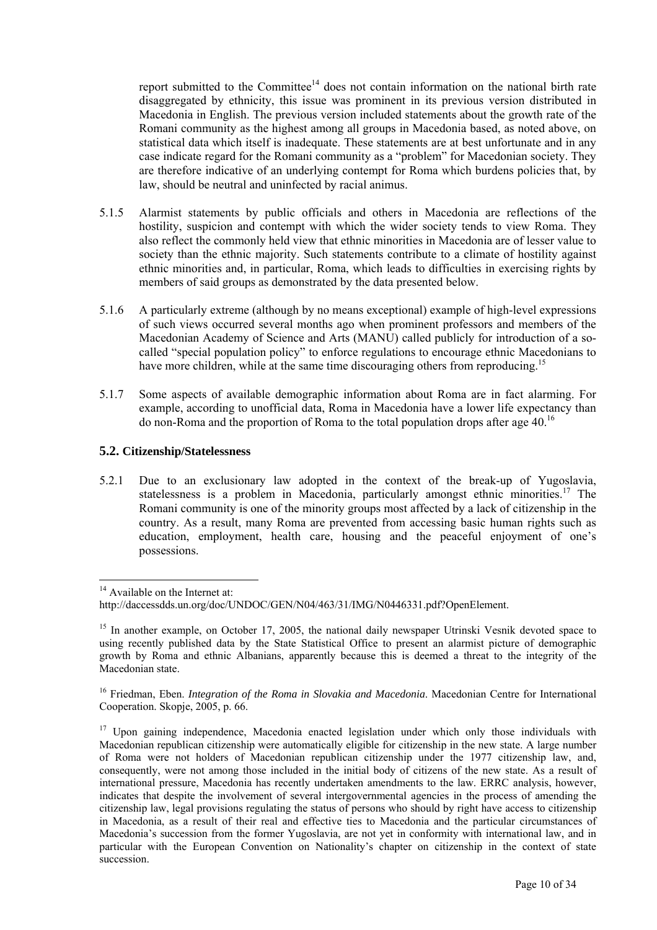report submitted to the Committee<sup>14</sup> does not contain information on the national birth rate disaggregated by ethnicity, this issue was prominent in its previous version distributed in Macedonia in English. The previous version included statements about the growth rate of the Romani community as the highest among all groups in Macedonia based, as noted above, on statistical data which itself is inadequate. These statements are at best unfortunate and in any case indicate regard for the Romani community as a "problem" for Macedonian society. They are therefore indicative of an underlying contempt for Roma which burdens policies that, by law, should be neutral and uninfected by racial animus.

- 5.1.5 Alarmist statements by public officials and others in Macedonia are reflections of the hostility, suspicion and contempt with which the wider society tends to view Roma. They also reflect the commonly held view that ethnic minorities in Macedonia are of lesser value to society than the ethnic majority. Such statements contribute to a climate of hostility against ethnic minorities and, in particular, Roma, which leads to difficulties in exercising rights by members of said groups as demonstrated by the data presented below.
- 5.1.6 A particularly extreme (although by no means exceptional) example of high-level expressions of such views occurred several months ago when prominent professors and members of the Macedonian Academy of Science and Arts (MANU) called publicly for introduction of a socalled "special population policy" to enforce regulations to encourage ethnic Macedonians to have more children, while at the same time discouraging others from reproducing.<sup>[15](#page-9-1)</sup>
- 5.1.7 Some aspects of available demographic information about Roma are in fact alarming. For example, according to unofficial data, Roma in Macedonia have a lower life expectancy than do non-Roma and the proportion of Roma to the total population drops after age  $40<sup>16</sup>$

#### **5.2. Citizenship/Statelessness**

5.2.1 Due to an exclusionary law adopted in the context of the break-up of Yugoslavia, statelessness is a problem in Macedonia, particularly amongst ethnic minorities.<sup>17</sup> The Romani community is one of the minority groups most affected by a lack of citizenship in the country. As a result, many Roma are prevented from accessing basic human rights such as education, employment, health care, housing and the peaceful enjoyment of one's possessions.

 $\overline{a}$ 

<span id="page-9-2"></span><sup>16</sup> Friedman, Eben. *Integration of the Roma in Slovakia and Macedonia*. Macedonian Centre for International Cooperation. Skopje, 2005, p. 66.

<span id="page-9-0"></span><sup>&</sup>lt;sup>14</sup> Available on the Internet at:

http://daccessdds.un.org/doc/UNDOC/GEN/N04/463/31/IMG/N0446331.pdf?OpenElement.

<span id="page-9-1"></span><sup>&</sup>lt;sup>15</sup> In another example, on October 17, 2005, the national daily newspaper Utrinski Vesnik devoted space to using recently published data by the State Statistical Office to present an alarmist picture of demographic growth by Roma and ethnic Albanians, apparently because this is deemed a threat to the integrity of the Macedonian state.

<span id="page-9-3"></span><sup>&</sup>lt;sup>17</sup> Upon gaining independence, Macedonia enacted legislation under which only those individuals with Macedonian republican citizenship were automatically eligible for citizenship in the new state. A large number of Roma were not holders of Macedonian republican citizenship under the 1977 citizenship law, and, consequently, were not among those included in the initial body of citizens of the new state. As a result of international pressure, Macedonia has recently undertaken amendments to the law. ERRC analysis, however, indicates that despite the involvement of several intergovernmental agencies in the process of amending the citizenship law, legal provisions regulating the status of persons who should by right have access to citizenship in Macedonia, as a result of their real and effective ties to Macedonia and the particular circumstances of Macedonia's succession from the former Yugoslavia, are not yet in conformity with international law, and in particular with the European Convention on Nationality's chapter on citizenship in the context of state succession.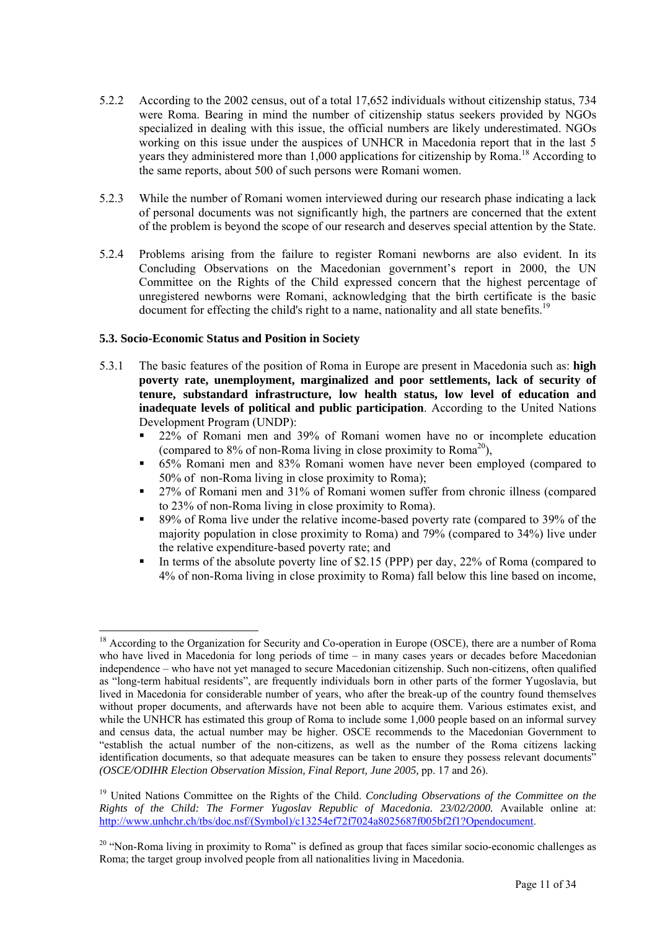- 5.2.2 According to the 2002 census, out of a total 17,652 individuals without citizenship status, 734 were Roma. Bearing in mind the number of citizenship status seekers provided by NGOs specialized in dealing with this issue, the official numbers are likely underestimated. NGOs working on this issue under the auspices of UNHCR in Macedonia report that in the last 5 years they administered more than 1,000 applications for citizenship by Roma.<sup>18</sup> According to the same reports, about 500 of such persons were Romani women.
- 5.2.3 While the number of Romani women interviewed during our research phase indicating a lack of personal documents was not significantly high, the partners are concerned that the extent of the problem is beyond the scope of our research and deserves special attention by the State.
- 5.2.4 Problems arising from the failure to register Romani newborns are also evident. In its Concluding Observations on the Macedonian government's report in 2000, the UN Committee on the Rights of the Child expressed concern that the highest percentage of unregistered newborns were Romani, acknowledging that the birth certificate is the basic document for effecting the child's right to a name, nationality and all state benefits.<sup>[19](#page-10-1)</sup>

## **5.3. Socio-Economic Status and Position in Society**

- 5.3.1 The basic features of the position of Roma in Europe are present in Macedonia such as: **high poverty rate, unemployment, marginalized and poor settlements, lack of security of tenure, substandard infrastructure, low health status, low level of education and inadequate levels of political and public participation**. According to the United Nations Development Program (UNDP):
	- 22% of Romani men and 39% of Romani women have no or incomplete education (compared to  $8\%$  of non-Roma living in close proximity to Roma<sup>20</sup>),
	- 65% Romani men and 83% Romani women have never been employed (compared to 50% of non-Roma living in close proximity to Roma);
	- 27% of Romani men and 31% of Romani women suffer from chronic illness (compared to 23% of non-Roma living in close proximity to Roma).
	- 89% of Roma live under the relative income-based poverty rate (compared to 39% of the majority population in close proximity to Roma) and 79% (compared to 34%) live under the relative expenditure-based poverty rate; and
	- In terms of the absolute poverty line of \$2.15 (PPP) per day, 22% of Roma (compared to 4% of non-Roma living in close proximity to Roma) fall below this line based on income,

<span id="page-10-0"></span><sup>&</sup>lt;sup>18</sup> According to the Organization for Security and Co-operation in Europe (OSCE), there are a number of Roma who have lived in Macedonia for long periods of time – in many cases years or decades before Macedonian independence – who have not yet managed to secure Macedonian citizenship. Such non-citizens, often qualified as "long-term habitual residents", are frequently individuals born in other parts of the former Yugoslavia, but lived in Macedonia for considerable number of years, who after the break-up of the country found themselves without proper documents, and afterwards have not been able to acquire them. Various estimates exist, and while the UNHCR has estimated this group of Roma to include some 1,000 people based on an informal survey and census data, the actual number may be higher. OSCE recommends to the Macedonian Government to "establish the actual number of the non-citizens, as well as the number of the Roma citizens lacking identification documents, so that adequate measures can be taken to ensure they possess relevant documents" *(OSCE/ODIHR Election Observation Mission, Final Report, June 2005, pp. 17 and 26).* 

<span id="page-10-1"></span><sup>&</sup>lt;sup>19</sup> United Nations Committee on the Rights of the Child. *Concluding Observations of the Committee on the Rights of the Child: The Former Yugoslav Republic of Macedonia. 23/02/2000.* Available online at: [http://www.unhchr.ch/tbs/doc.nsf/\(Symbol\)/c13254ef72f7024a8025687f005bf2f1?Opendocument](http://www.unhchr.ch/tbs/doc.nsf/(Symbol)/c13254ef72f7024a8025687f005bf2f1?Opendocument).

<span id="page-10-2"></span> $20$  "Non-Roma living in proximity to Roma" is defined as group that faces similar socio-economic challenges as Roma; the target group involved people from all nationalities living in Macedonia.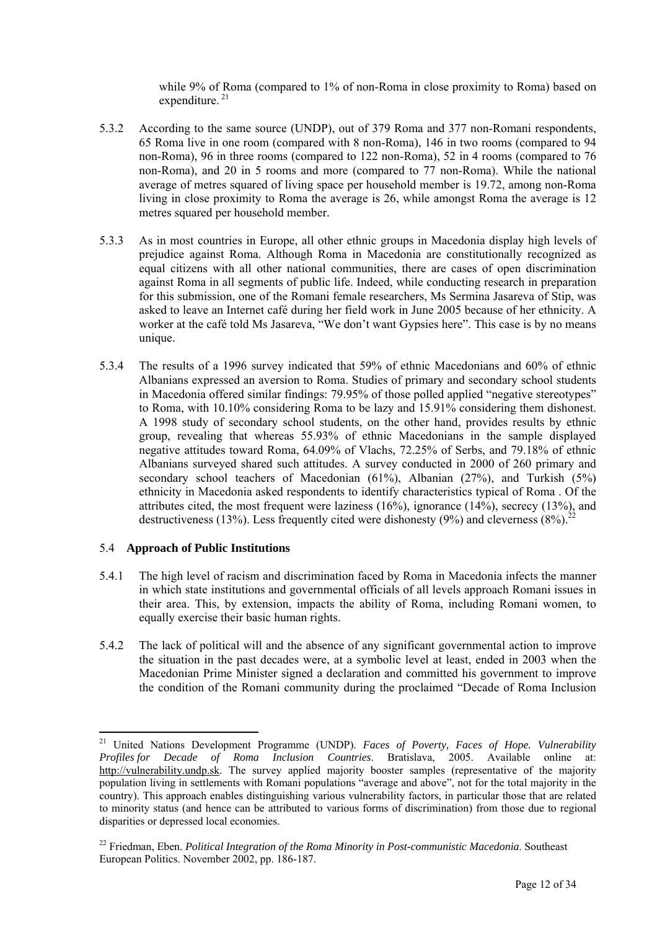while 9% of Roma (compared to 1% of non-Roma in close proximity to Roma) based on expenditure.<sup>21</sup>

- 5.3.2 According to the same source (UNDP), out of 379 Roma and 377 non-Romani respondents, 65 Roma live in one room (compared with 8 non-Roma), 146 in two rooms (compared to 94 non-Roma), 96 in three rooms (compared to 122 non-Roma), 52 in 4 rooms (compared to 76 non-Roma), and 20 in 5 rooms and more (compared to 77 non-Roma). While the national average of metres squared of living space per household member is 19.72, among non-Roma living in close proximity to Roma the average is 26, while amongst Roma the average is 12 metres squared per household member.
- 5.3.3 As in most countries in Europe, all other ethnic groups in Macedonia display high levels of prejudice against Roma. Although Roma in Macedonia are constitutionally recognized as equal citizens with all other national communities, there are cases of open discrimination against Roma in all segments of public life. Indeed, while conducting research in preparation for this submission, one of the Romani female researchers, Ms Sermina Jasareva of Stip, was asked to leave an Internet café during her field work in June 2005 because of her ethnicity. A worker at the café told Ms Jasareva, "We don't want Gypsies here". This case is by no means unique.
- 5.3.4 The results of a 1996 survey indicated that 59% of ethnic Macedonians and 60% of ethnic Albanians expressed an aversion to Roma. Studies of primary and secondary school students in Macedonia offered similar findings: 79.95% of those polled applied "negative stereotypes" to Roma, with 10.10% considering Roma to be lazy and 15.91% considering them dishonest. A 1998 study of secondary school students, on the other hand, provides results by ethnic group, revealing that whereas 55.93% of ethnic Macedonians in the sample displayed negative attitudes toward Roma, 64.09% of Vlachs, 72.25% of Serbs, and 79.18% of ethnic Albanians surveyed shared such attitudes. A survey conducted in 2000 of 260 primary and secondary school teachers of Macedonian (61%), Albanian (27%), and Turkish (5%) ethnicity in Macedonia asked respondents to identify characteristics typical of Roma . Of the attributes cited, the most frequent were laziness (16%), ignorance (14%), secrecy (13%), and destructiveness (13%). Less frequently cited were dishonesty (9%) and cleverness  $(8\%)$ .<sup>2</sup>

#### 5.4 **Approach of Public Institutions**

- 5.4.1 The high level of racism and discrimination faced by Roma in Macedonia infects the manner in which state institutions and governmental officials of all levels approach Romani issues in their area. This, by extension, impacts the ability of Roma, including Romani women, to equally exercise their basic human rights.
- 5.4.2 The lack of political will and the absence of any significant governmental action to improve the situation in the past decades were, at a symbolic level at least, ended in 2003 when the Macedonian Prime Minister signed a declaration and committed his government to improve the condition of the Romani community during the proclaimed "Decade of Roma Inclusion

<span id="page-11-0"></span><sup>21</sup> United Nations Development Programme (UNDP). *Faces of Poverty, Faces of Hope. Vulnerability Profiles for Decade of Roma Inclusion Countries*. Bratislava, 2005. Available online at: [http://vulnerability.undp.sk.](http://vulnerability.undp.sk/) The survey applied majority booster samples (representative of the majority population living in settlements with Romani populations "average and above", not for the total majority in the country). This approach enables distinguishing various vulnerability factors, in particular those that are related to minority status (and hence can be attributed to various forms of discrimination) from those due to regional disparities or depressed local economies.

<span id="page-11-1"></span><sup>22</sup> Friedman, Eben. *Political Integration of the Roma Minority in Post-communistic Macedonia*. Southeast European Politics. November 2002, pp. 186-187.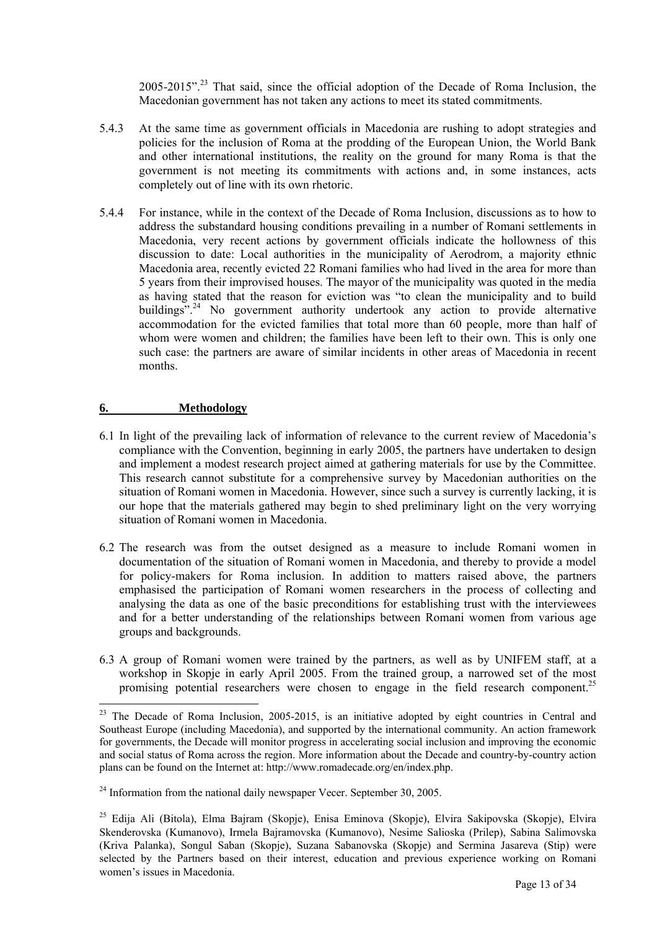2005-2015".[23](#page-12-0) That said, since the official adoption of the Decade of Roma Inclusion, the Macedonian government has not taken any actions to meet its stated commitments.

- 5.4.3 At the same time as government officials in Macedonia are rushing to adopt strategies and policies for the inclusion of Roma at the prodding of the European Union, the World Bank and other international institutions, the reality on the ground for many Roma is that the government is not meeting its commitments with actions and, in some instances, acts completely out of line with its own rhetoric.
- 5.4.4 For instance, while in the context of the Decade of Roma Inclusion, discussions as to how to address the substandard housing conditions prevailing in a number of Romani settlements in Macedonia, very recent actions by government officials indicate the hollowness of this discussion to date: Local authorities in the municipality of Aerodrom, a majority ethnic Macedonia area, recently evicted 22 Romani families who had lived in the area for more than 5 years from their improvised houses. The mayor of the municipality was quoted in the media as having stated that the reason for eviction was "to clean the municipality and to build buildings"<sup>24</sup> No government authority undertook any action to provide alternative accommodation for the evicted families that total more than 60 people, more than half of whom were women and children; the families have been left to their own. This is only one such case: the partners are aware of similar incidents in other areas of Macedonia in recent months.

#### **6. Methodology**

- 6.1 In light of the prevailing lack of information of relevance to the current review of Macedonia's compliance with the Convention, beginning in early 2005, the partners have undertaken to design and implement a modest research project aimed at gathering materials for use by the Committee. This research cannot substitute for a comprehensive survey by Macedonian authorities on the situation of Romani women in Macedonia. However, since such a survey is currently lacking, it is our hope that the materials gathered may begin to shed preliminary light on the very worrying situation of Romani women in Macedonia.
- 6.2 The research was from the outset designed as a measure to include Romani women in documentation of the situation of Romani women in Macedonia, and thereby to provide a model for policy-makers for Roma inclusion. In addition to matters raised above, the partners emphasised the participation of Romani women researchers in the process of collecting and analysing the data as one of the basic preconditions for establishing trust with the interviewees and for a better understanding of the relationships between Romani women from various age groups and backgrounds.
- 6.3 A group of Romani women were trained by the partners, as well as by UNIFEM staff, at a workshop in Skopje in early April 2005. From the trained group, a narrowed set of the most promising potential researchers were chosen to engage in the field research component.<sup>25</sup>

<span id="page-12-0"></span> $^{23}$  The Decade of Roma Inclusion, 2005-2015, is an initiative adopted by eight countries in Central and Southeast Europe (including Macedonia), and supported by the international community. An action framework for governments, the Decade will monitor progress in accelerating social inclusion and improving the economic and social status of Roma across the region. More information about the Decade and country-by-country action plans can be found on the Internet at: http://www.romadecade.org/en/index.php.

<span id="page-12-1"></span> $24$  Information from the national daily newspaper Vecer. September 30, 2005.

<span id="page-12-2"></span><sup>&</sup>lt;sup>25</sup> Edija Ali (Bitola), Elma Bajram (Skopje), Enisa Eminova (Skopje), Elvira Sakipovska (Skopje), Elvira Skenderovska (Kumanovo), Irmela Bajramovska (Kumanovo), Nesime Salioska (Prilep), Sabina Salimovska (Kriva Palanka), Songul Saban (Skopje), Suzana Sabanovska (Skopje) and Sermina Jasareva (Stip) were selected by the Partners based on their interest, education and previous experience working on Romani women's issues in Macedonia.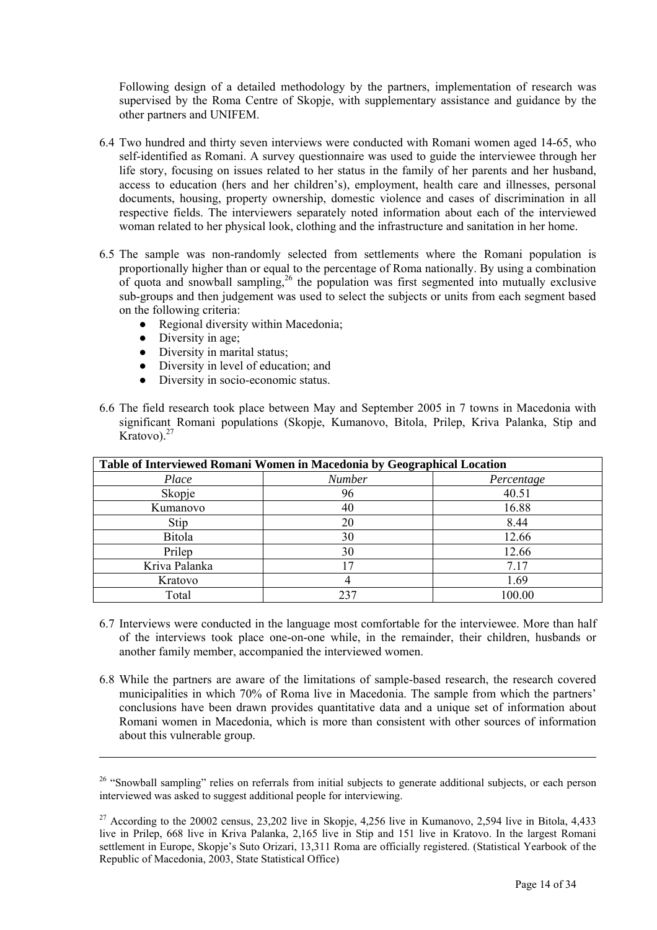Following design of a detailed methodology by the partners, implementation of research was supervised by the Roma Centre of Skopje, with supplementary assistance and guidance by the other partners and UNIFEM.

- 6.4 Two hundred and thirty seven interviews were conducted with Romani women aged 14-65, who self-identified as Romani. A survey questionnaire was used to guide the interviewee through her life story, focusing on issues related to her status in the family of her parents and her husband, access to education (hers and her children's), employment, health care and illnesses, personal documents, housing, property ownership, domestic violence and cases of discrimination in all respective fields. The interviewers separately noted information about each of the interviewed woman related to her physical look, clothing and the infrastructure and sanitation in her home.
- 6.5 The sample was non-randomly selected from settlements where the Romani population is proportionally higher than or equal to the percentage of Roma nationally. By using a combination of quota and snowball sampling,[26](#page-13-0) the population was first segmented into mutually exclusive sub-groups and then judgement was used to select the subjects or units from each segment based on the following criteria:
	- Regional diversity within Macedonia:
	- Diversity in age;

- Diversity in marital status;
- Diversity in level of education; and
- Diversity in socio-economic status.
- 6.6 The field research took place between May and September 2005 in 7 towns in Macedonia with significant Romani populations (Skopje, Kumanovo, Bitola, Prilep, Kriva Palanka, Stip and Kratovo).<sup>27</sup>

| Table of Interviewed Romani Women in Macedonia by Geographical Location |               |            |
|-------------------------------------------------------------------------|---------------|------------|
| Place                                                                   | <b>Number</b> | Percentage |
| Skopje                                                                  | 96            | 40.51      |
| Kumanovo                                                                | 40            | 16.88      |
| Stip                                                                    | 20            | 8.44       |
| <b>Bitola</b>                                                           | 30            | 12.66      |
| Prilep                                                                  | 30            | 12.66      |
| Kriva Palanka                                                           |               | 7.17       |
| Kratovo                                                                 | 4             | 1.69       |
| Total                                                                   |               | 100.00     |

- 6.7 Interviews were conducted in the language most comfortable for the interviewee. More than half of the interviews took place one-on-one while, in the remainder, their children, husbands or another family member, accompanied the interviewed women.
- 6.8 While the partners are aware of the limitations of sample-based research, the research covered municipalities in which 70% of Roma live in Macedonia. The sample from which the partners' conclusions have been drawn provides quantitative data and a unique set of information about Romani women in Macedonia, which is more than consistent with other sources of information about this vulnerable group.

<span id="page-13-0"></span><sup>&</sup>lt;sup>26</sup> "Snowball sampling" relies on referrals from initial subjects to generate additional subjects, or each person interviewed was asked to suggest additional people for interviewing.

<span id="page-13-1"></span> $27$  According to the 20002 census, 23,202 live in Skopje, 4,256 live in Kumanovo, 2,594 live in Bitola, 4,433 live in Prilep, 668 live in Kriva Palanka, 2,165 live in Stip and 151 live in Kratovo. In the largest Romani settlement in Europe, Skopje's Suto Orizari, 13,311 Roma are officially registered. (Statistical Yearbook of the Republic of Macedonia, 2003, State Statistical Office)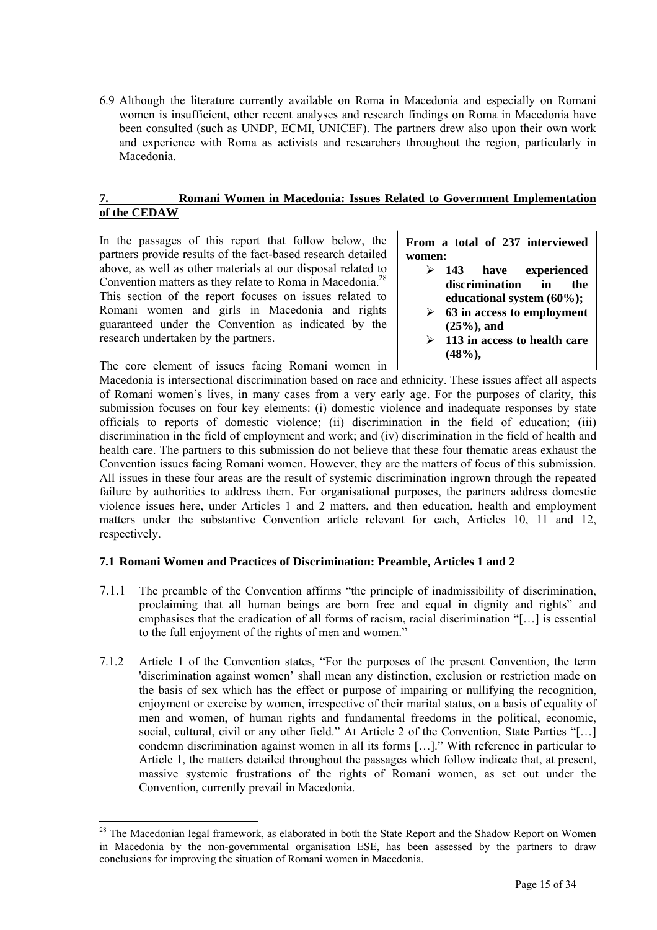6.9 Although the literature currently available on Roma in Macedonia and especially on Romani women is insufficient, other recent analyses and research findings on Roma in Macedonia have been consulted (such as UNDP, ECMI, UNICEF). The partners drew also upon their own work and experience with Roma as activists and researchers throughout the region, particularly in Macedonia.

#### **7. Romani Women in Macedonia: Issues Related to Government Implementation of the CEDAW**

In the passages of this report that follow below, the partners provide results of the fact-based research detailed above, as well as other materials at our disposal related to Convention matters as they relate to Roma in Macedonia.<sup>28</sup> This section of the report focuses on issues related to Romani women and girls in Macedonia and rights guaranteed under the Convention as indicated by the research undertaken by the partners.

The core element of issues facing Romani women in

 $\overline{a}$ 

**From a total of 237 interviewed women:** 

- ¾ **143 have experienced discrimination in the educational system (60%);**
- ¾ **63 in access to employment (25%), and**
- ¾ **113 in access to health care (48%),**

Macedonia is intersectional discrimination based on race and ethnicity. These issues affect all aspects of Romani women's lives, in many cases from a very early age. For the purposes of clarity, this submission focuses on four key elements: (i) domestic violence and inadequate responses by state officials to reports of domestic violence; (ii) discrimination in the field of education; (iii) discrimination in the field of employment and work; and (iv) discrimination in the field of health and health care. The partners to this submission do not believe that these four thematic areas exhaust the Convention issues facing Romani women. However, they are the matters of focus of this submission. All issues in these four areas are the result of systemic discrimination ingrown through the repeated failure by authorities to address them. For organisational purposes, the partners address domestic violence issues here, under Articles 1 and 2 matters, and then education, health and employment matters under the substantive Convention article relevant for each, Articles 10, 11 and 12, respectively.

# **7.1 Romani Women and Practices of Discrimination: Preamble, Articles 1 and 2**

- 7.1.1 The preamble of the Convention affirms "the principle of inadmissibility of discrimination, proclaiming that all human beings are born free and equal in dignity and rights" and emphasises that the eradication of all forms of racism, racial discrimination "[…] is essential to the full enjoyment of the rights of men and women."
- 7.1.2 Article 1 of the Convention states, "For the purposes of the present Convention, the term 'discrimination against women' shall mean any distinction, exclusion or restriction made on the basis of sex which has the effect or purpose of impairing or nullifying the recognition, enjoyment or exercise by women, irrespective of their marital status, on a basis of equality of men and women, of human rights and fundamental freedoms in the political, economic, social, cultural, civil or any other field." At Article 2 of the Convention, State Parties "[…] condemn discrimination against women in all its forms […]." With reference in particular to Article 1, the matters detailed throughout the passages which follow indicate that, at present, massive systemic frustrations of the rights of Romani women, as set out under the Convention, currently prevail in Macedonia.

<sup>&</sup>lt;sup>28</sup> The Macedonian legal framework, as elaborated in both the State Report and the Shadow Report on Women in Macedonia by the non-governmental organisation ESE, has been assessed by the partners to draw conclusions for improving the situation of Romani women in Macedonia.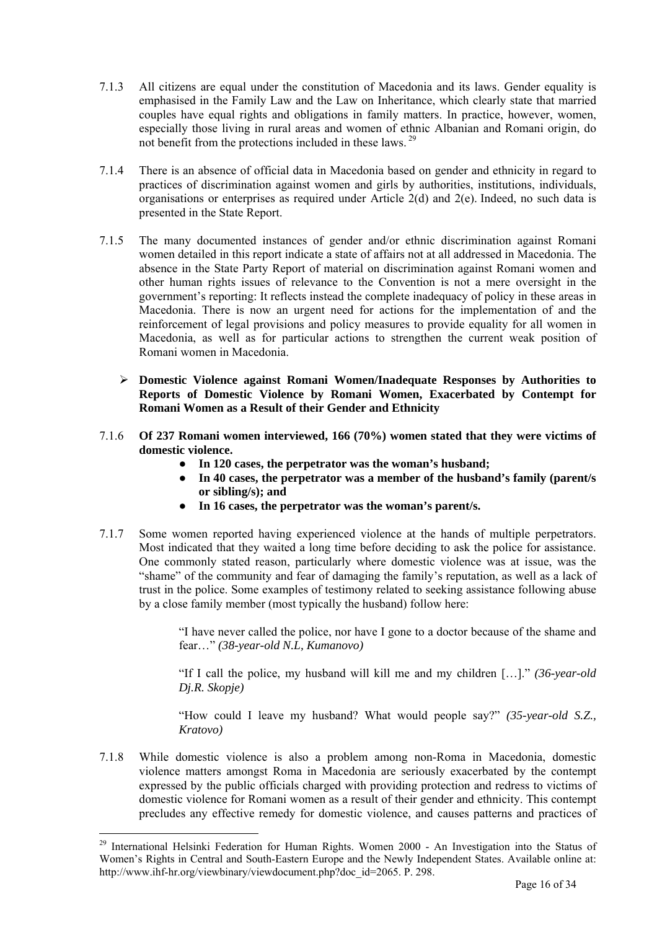- 7.1.3 All citizens are equal under the constitution of Macedonia and its laws. Gender equality is emphasised in the Family Law and the Law on Inheritance, which clearly state that married couples have equal rights and obligations in family matters. In practice, however, women, especially those living in rural areas and women of ethnic Albanian and Romani origin, do not benefit from the protections included in these laws. [29](#page-15-0)
- 7.1.4 There is an absence of official data in Macedonia based on gender and ethnicity in regard to practices of discrimination against women and girls by authorities, institutions, individuals, organisations or enterprises as required under Article 2(d) and 2(e). Indeed, no such data is presented in the State Report.
- 7.1.5 The many documented instances of gender and/or ethnic discrimination against Romani women detailed in this report indicate a state of affairs not at all addressed in Macedonia. The absence in the State Party Report of material on discrimination against Romani women and other human rights issues of relevance to the Convention is not a mere oversight in the government's reporting: It reflects instead the complete inadequacy of policy in these areas in Macedonia. There is now an urgent need for actions for the implementation of and the reinforcement of legal provisions and policy measures to provide equality for all women in Macedonia, as well as for particular actions to strengthen the current weak position of Romani women in Macedonia.
	- ¾ **Domestic Violence against Romani Women/Inadequate Responses by Authorities to Reports of Domestic Violence by Romani Women, Exacerbated by Contempt for Romani Women as a Result of their Gender and Ethnicity**
- 7.1.6 **Of 237 Romani women interviewed, 166 (70%) women stated that they were victims of domestic violence.** 
	- **In 120 cases, the perpetrator was the woman's husband;**
	- In 40 cases, the perpetrator was a member of the husband's family (parent/s  **or sibling/s); and**
	- **In 16 cases, the perpetrator was the woman's parent/s.**
- 7.1.7 Some women reported having experienced violence at the hands of multiple perpetrators. Most indicated that they waited a long time before deciding to ask the police for assistance. One commonly stated reason, particularly where domestic violence was at issue, was the "shame" of the community and fear of damaging the family's reputation, as well as a lack of trust in the police. Some examples of testimony related to seeking assistance following abuse by a close family member (most typically the husband) follow here:

"I have never called the police, nor have I gone to a doctor because of the shame and fear…" *(38-year-old N.L, Kumanovo)* 

"If I call the police, my husband will kill me and my children […]." *(36-year-old Dj.R. Skopje)* 

"How could I leave my husband? What would people say?" *(35-year-old S.Z., Kratovo)* 

7.1.8 While domestic violence is also a problem among non-Roma in Macedonia, domestic violence matters amongst Roma in Macedonia are seriously exacerbated by the contempt expressed by the public officials charged with providing protection and redress to victims of domestic violence for Romani women as a result of their gender and ethnicity. This contempt precludes any effective remedy for domestic violence, and causes patterns and practices of

<span id="page-15-0"></span><sup>&</sup>lt;sup>29</sup> International Helsinki Federation for Human Rights. Women 2000 - An Investigation into the Status of Women's Rights in Central and South-Eastern Europe and the Newly Independent States. Available online at: http://www.ihf-hr.org/viewbinary/viewdocument.php?doc\_id=2065. P. 298.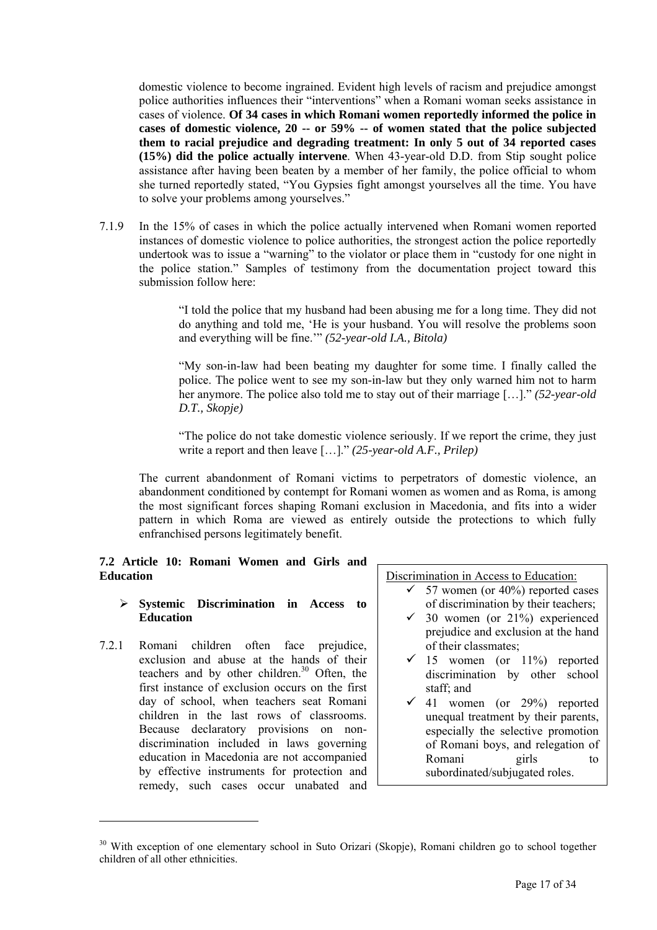domestic violence to become ingrained. Evident high levels of racism and prejudice amongst police authorities influences their "interventions" when a Romani woman seeks assistance in cases of violence. **Of 34 cases in which Romani women reportedly informed the police in cases of domestic violence, 20 -- or 59% -- of women stated that the police subjected them to racial prejudice and degrading treatment: In only 5 out of 34 reported cases (15%) did the police actually intervene**. When 43-year-old D.D. from Stip sought police assistance after having been beaten by a member of her family, the police official to whom she turned reportedly stated, "You Gypsies fight amongst yourselves all the time. You have to solve your problems among yourselves."

7.1.9 In the 15% of cases in which the police actually intervened when Romani women reported instances of domestic violence to police authorities, the strongest action the police reportedly undertook was to issue a "warning" to the violator or place them in "custody for one night in the police station." Samples of testimony from the documentation project toward this submission follow here:

> "I told the police that my husband had been abusing me for a long time. They did not do anything and told me, 'He is your husband. You will resolve the problems soon and everything will be fine.'" *(52-year-old I.A., Bitola)*

> "My son-in-law had been beating my daughter for some time. I finally called the police. The police went to see my son-in-law but they only warned him not to harm her anymore. The police also told me to stay out of their marriage […]." *(52-year-old D.T., Skopje)*

> "The police do not take domestic violence seriously. If we report the crime, they just write a report and then leave […]." *(25-year-old A.F., Prilep)*

The current abandonment of Romani victims to perpetrators of domestic violence, an abandonment conditioned by contempt for Romani women as women and as Roma, is among the most significant forces shaping Romani exclusion in Macedonia, and fits into a wider pattern in which Roma are viewed as entirely outside the protections to which fully enfranchised persons legitimately benefit.

#### **7.2 Article 10: Romani Women and Girls and Education**

#### ¾ **Systemic Discrimination in Access to Education**

7.2.1 Romani children often face prejudice, exclusion and abuse at the hands of their teachers and by other children. $30$  Often, the first instance of exclusion occurs on the first day of school, when teachers seat Romani children in the last rows of classrooms. Because declaratory provisions on nondiscrimination included in laws governing education in Macedonia are not accompanied by effective instruments for protection and remedy, such cases occur unabated and

 $\overline{a}$ 

Discrimination in Access to Education:

- $\checkmark$  57 women (or 40%) reported cases of discrimination by their teachers;
- $\checkmark$  30 women (or 21%) experienced prejudice and exclusion at the hand of their classmates;
- $\checkmark$  15 women (or 11%) reported discrimination by other school staff; and
- $\checkmark$  41 women (or 29%) reported unequal treatment by their parents, especially the selective promotion of Romani boys, and relegation of Romani girls to subordinated/subjugated roles.

<span id="page-16-0"></span><sup>&</sup>lt;sup>30</sup> With exception of one elementary school in Suto Orizari (Skopje), Romani children go to school together children of all other ethnicities.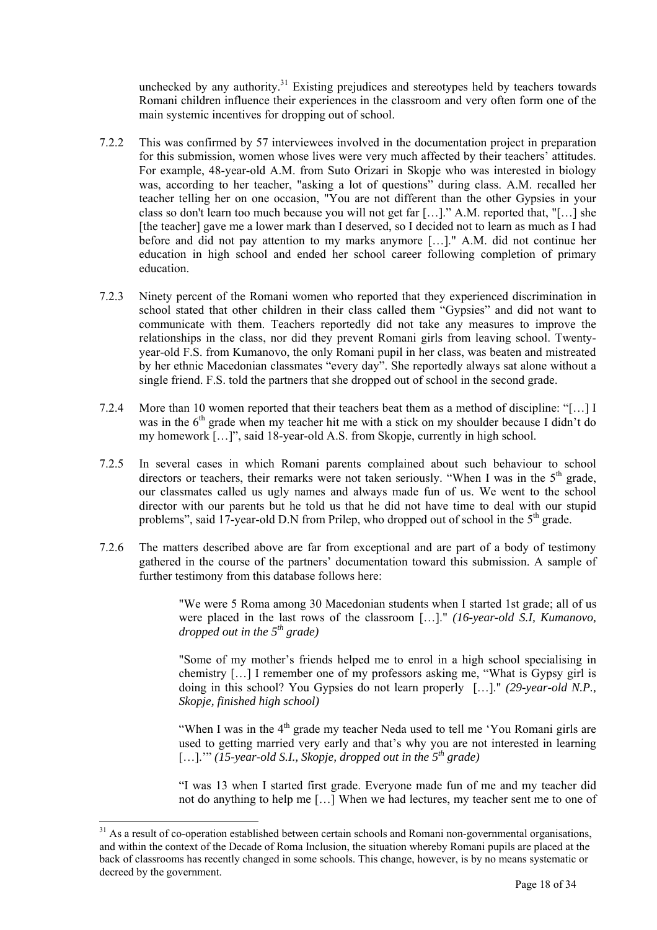unchecked by any authority.<sup>31</sup> Existing prejudices and stereotypes held by teachers towards Romani children influence their experiences in the classroom and very often form one of the main systemic incentives for dropping out of school.

- 7.2.2 This was confirmed by 57 interviewees involved in the documentation project in preparation for this submission, women whose lives were very much affected by their teachers' attitudes. For example, 48-year-old A.M. from Suto Orizari in Skopje who was interested in biology was, according to her teacher, "asking a lot of questions" during class. A.M. recalled her teacher telling her on one occasion, "You are not different than the other Gypsies in your class so don't learn too much because you will not get far […]." A.M. reported that, "[…] she [the teacher] gave me a lower mark than I deserved, so I decided not to learn as much as I had before and did not pay attention to my marks anymore […]." A.M. did not continue her education in high school and ended her school career following completion of primary education.
- 7.2.3 Ninety percent of the Romani women who reported that they experienced discrimination in school stated that other children in their class called them "Gypsies" and did not want to communicate with them. Teachers reportedly did not take any measures to improve the relationships in the class, nor did they prevent Romani girls from leaving school. Twentyyear-old F.S. from Kumanovo, the only Romani pupil in her class, was beaten and mistreated by her ethnic Macedonian classmates "every day". She reportedly always sat alone without a single friend. F.S. told the partners that she dropped out of school in the second grade.
- 7.2.4 More than 10 women reported that their teachers beat them as a method of discipline: "[…] I was in the 6<sup>th</sup> grade when my teacher hit me with a stick on my shoulder because I didn't do my homework […]", said 18-year-old A.S. from Skopje, currently in high school.
- 7.2.5 In several cases in which Romani parents complained about such behaviour to school directors or teachers, their remarks were not taken seriously. "When I was in the 5<sup>th</sup> grade, our classmates called us ugly names and always made fun of us. We went to the school director with our parents but he told us that he did not have time to deal with our stupid problems", said 17-year-old D.N from Prilep, who dropped out of school in the  $5<sup>th</sup>$  grade.
- 7.2.6 The matters described above are far from exceptional and are part of a body of testimony gathered in the course of the partners' documentation toward this submission. A sample of further testimony from this database follows here:

"We were 5 Roma among 30 Macedonian students when I started 1st grade; all of us were placed in the last rows of the classroom […]." *(16-year-old S.I, Kumanovo, dropped out in the 5th grade)* 

"Some of my mother's friends helped me to enrol in a high school specialising in chemistry […] I remember one of my professors asking me, "What is Gypsy girl is doing in this school? You Gypsies do not learn properly […]." *(29-year-old N.P., Skopje, finished high school)* 

"When I was in the  $4<sup>th</sup>$  grade my teacher Neda used to tell me 'You Romani girls are used to getting married very early and that's why you are not interested in learning […].'" (15-year-old S.I., Skopje, dropped out in the 5<sup>th</sup> grade)

"I was 13 when I started first grade. Everyone made fun of me and my teacher did not do anything to help me […] When we had lectures, my teacher sent me to one of

<span id="page-17-0"></span><sup>&</sup>lt;sup>31</sup> As a result of co-operation established between certain schools and Romani non-governmental organisations, and within the context of the Decade of Roma Inclusion, the situation whereby Romani pupils are placed at the back of classrooms has recently changed in some schools. This change, however, is by no means systematic or decreed by the government.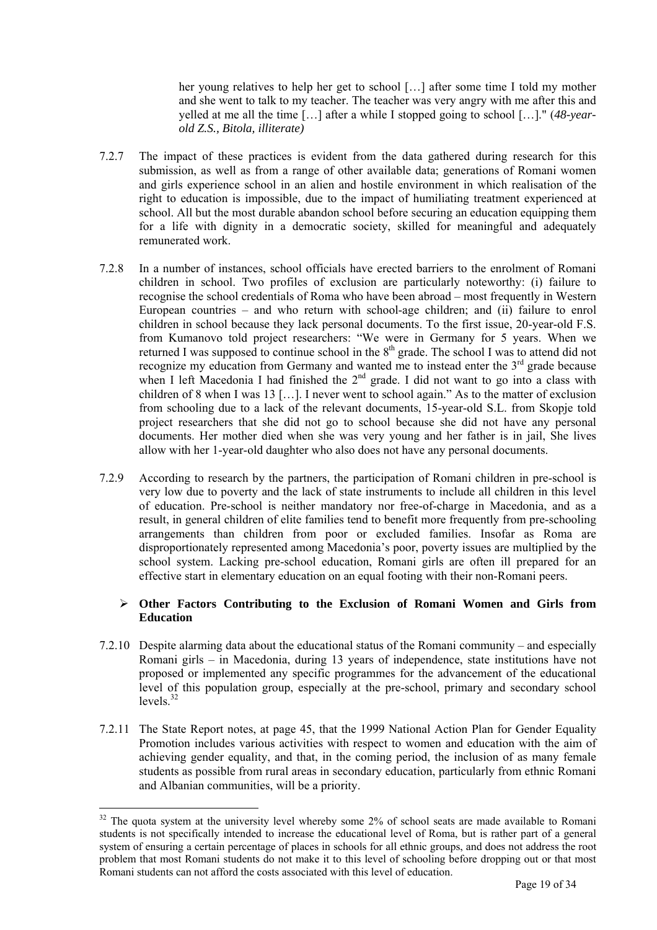her young relatives to help her get to school […] after some time I told my mother and she went to talk to my teacher. The teacher was very angry with me after this and yelled at me all the time […] after a while I stopped going to school […]." (*48-yearold Z.S., Bitola, illiterate)* 

- 7.2.7 The impact of these practices is evident from the data gathered during research for this submission, as well as from a range of other available data; generations of Romani women and girls experience school in an alien and hostile environment in which realisation of the right to education is impossible, due to the impact of humiliating treatment experienced at school. All but the most durable abandon school before securing an education equipping them for a life with dignity in a democratic society, skilled for meaningful and adequately remunerated work.
- 7.2.8 In a number of instances, school officials have erected barriers to the enrolment of Romani children in school. Two profiles of exclusion are particularly noteworthy: (i) failure to recognise the school credentials of Roma who have been abroad – most frequently in Western European countries – and who return with school-age children; and (ii) failure to enrol children in school because they lack personal documents. To the first issue, 20-year-old F.S. from Kumanovo told project researchers: "We were in Germany for 5 years. When we returned I was supposed to continue school in the  $8<sup>th</sup>$  grade. The school I was to attend did not recognize my education from Germany and wanted me to instead enter the  $3<sup>rd</sup>$  grade because when I left Macedonia I had finished the  $2<sup>nd</sup>$  grade. I did not want to go into a class with children of 8 when I was 13 […]. I never went to school again." As to the matter of exclusion from schooling due to a lack of the relevant documents, 15-year-old S.L. from Skopje told project researchers that she did not go to school because she did not have any personal documents. Her mother died when she was very young and her father is in jail, She lives allow with her 1-year-old daughter who also does not have any personal documents.
- 7.2.9 According to research by the partners, the participation of Romani children in pre-school is very low due to poverty and the lack of state instruments to include all children in this level of education. Pre-school is neither mandatory nor free-of-charge in Macedonia, and as a result, in general children of elite families tend to benefit more frequently from pre-schooling arrangements than children from poor or excluded families. Insofar as Roma are disproportionately represented among Macedonia's poor, poverty issues are multiplied by the school system. Lacking pre-school education, Romani girls are often ill prepared for an effective start in elementary education on an equal footing with their non-Romani peers.

# ¾ **Other Factors Contributing to the Exclusion of Romani Women and Girls from Education**

- 7.2.10 Despite alarming data about the educational status of the Romani community and especially Romani girls – in Macedonia, during 13 years of independence, state institutions have not proposed or implemented any specific programmes for the advancement of the educational level of this population group, especially at the pre-school, primary and secondary school levels $32$
- 7.2.11 The State Report notes, at page 45, that the 1999 National Action Plan for Gender Equality Promotion includes various activities with respect to women and education with the aim of achieving gender equality, and that, in the coming period, the inclusion of as many female students as possible from rural areas in secondary education, particularly from ethnic Romani and Albanian communities, will be a priority.

<span id="page-18-0"></span> $32$  The quota system at the university level whereby some  $2\%$  of school seats are made available to Romani students is not specifically intended to increase the educational level of Roma, but is rather part of a general system of ensuring a certain percentage of places in schools for all ethnic groups, and does not address the root problem that most Romani students do not make it to this level of schooling before dropping out or that most Romani students can not afford the costs associated with this level of education.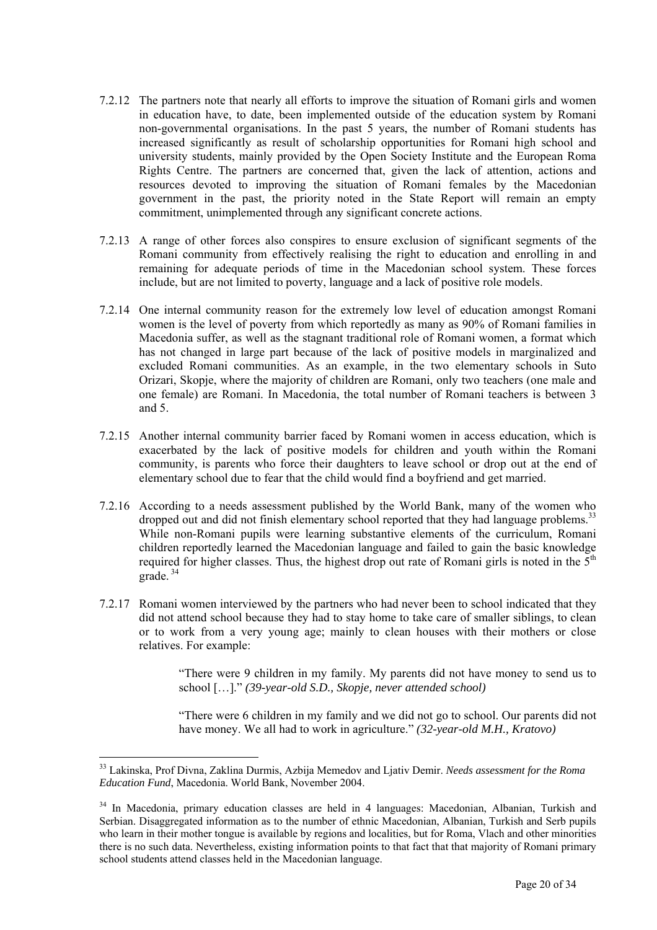- 7.2.12 The partners note that nearly all efforts to improve the situation of Romani girls and women in education have, to date, been implemented outside of the education system by Romani non-governmental organisations. In the past 5 years, the number of Romani students has increased significantly as result of scholarship opportunities for Romani high school and university students, mainly provided by the Open Society Institute and the European Roma Rights Centre. The partners are concerned that, given the lack of attention, actions and resources devoted to improving the situation of Romani females by the Macedonian government in the past, the priority noted in the State Report will remain an empty commitment, unimplemented through any significant concrete actions.
- 7.2.13 A range of other forces also conspires to ensure exclusion of significant segments of the Romani community from effectively realising the right to education and enrolling in and remaining for adequate periods of time in the Macedonian school system. These forces include, but are not limited to poverty, language and a lack of positive role models.
- 7.2.14 One internal community reason for the extremely low level of education amongst Romani women is the level of poverty from which reportedly as many as 90% of Romani families in Macedonia suffer, as well as the stagnant traditional role of Romani women, a format which has not changed in large part because of the lack of positive models in marginalized and excluded Romani communities. As an example, in the two elementary schools in Suto Orizari, Skopje, where the majority of children are Romani, only two teachers (one male and one female) are Romani. In Macedonia, the total number of Romani teachers is between 3 and 5.
- 7.2.15 Another internal community barrier faced by Romani women in access education, which is exacerbated by the lack of positive models for children and youth within the Romani community, is parents who force their daughters to leave school or drop out at the end of elementary school due to fear that the child would find a boyfriend and get married.
- 7.2.16 According to a needs assessment published by the World Bank, many of the women who dropped out and did not finish elementary school reported that they had language problems.<sup>[33](#page-19-0)</sup> While non-Romani pupils were learning substantive elements of the curriculum, Romani children reportedly learned the Macedonian language and failed to gain the basic knowledge required for higher classes. Thus, the highest drop out rate of Romani girls is noted in the  $5<sup>th</sup>$ grade. [34](#page-19-1)
- 7.2.17 Romani women interviewed by the partners who had never been to school indicated that they did not attend school because they had to stay home to take care of smaller siblings, to clean or to work from a very young age; mainly to clean houses with their mothers or close relatives. For example:

"There were 9 children in my family. My parents did not have money to send us to school […]." *(39-year-old S.D., Skopje, never attended school)* 

"There were 6 children in my family and we did not go to school. Our parents did not have money. We all had to work in agriculture." *(32-year-old M.H., Kratovo)* 

<span id="page-19-0"></span><sup>33</sup> Lakinska, Prof Divna, Zaklina Durmis, Azbija Memedov and Ljativ Demir. *Needs assessment for the Roma Education Fund*, Macedonia. World Bank, November 2004.

<span id="page-19-1"></span><sup>&</sup>lt;sup>34</sup> In Macedonia, primary education classes are held in 4 languages: Macedonian, Albanian, Turkish and Serbian. Disaggregated information as to the number of ethnic Macedonian, Albanian, Turkish and Serb pupils who learn in their mother tongue is available by regions and localities, but for Roma, Vlach and other minorities there is no such data. Nevertheless, existing information points to that fact that that majority of Romani primary school students attend classes held in the Macedonian language.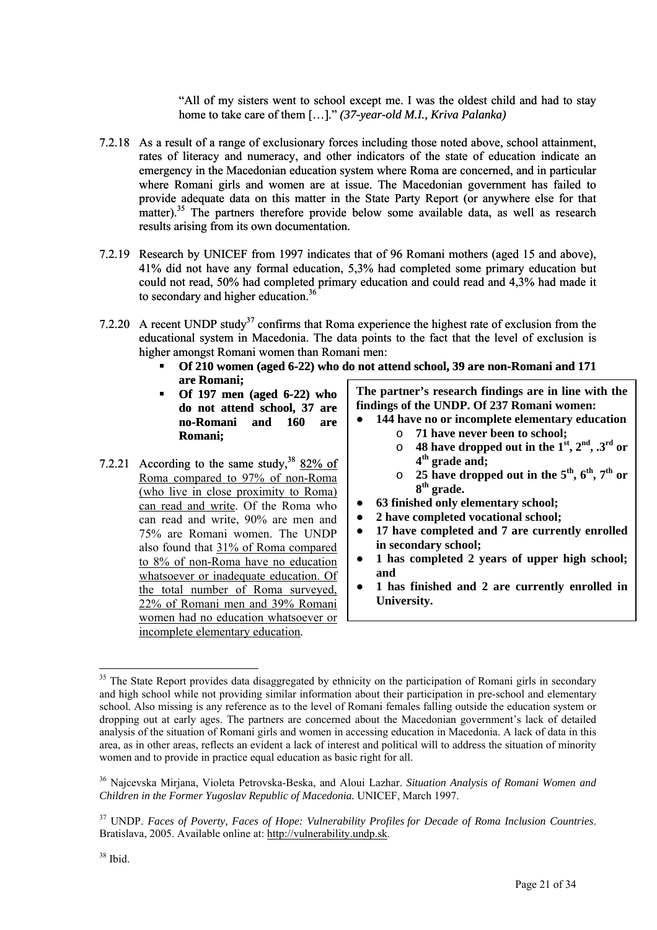"All of my sisters went to school except me. I was the oldest child and had to stay home to take care of them […]." *(37-year-old M.I., Kriva Palanka)*

- 7.2.18 As a result of a range of exclusionary forces including those noted above, school attainment, rates of literacy and numeracy, and other indicators of the state of education indicate an emergency in the Macedonian education system where Roma are concerned, and in particular where Romani girls and women are at issue. The Macedonian government has failed to provide adequate data on this matter in the State Party Report (or anywhere else for that matter).<sup>35</sup> The partners therefore provide below some available data, as well as research results arising from its own documentation.
- 7.2.19 Research by UNICEF from 1997 indicates that of 96 Romani mothers (aged 15 and above), 41% did not have any formal education, 5,3% had completed some primary education but could not read, 50% had completed primary education and could read and 4,3% had made it to secondary and higher education.<sup>[36](#page-20-1)</sup>
- 7.2.20 A recent UNDP study<sup>37</sup> confirms that Roma experience the highest rate of exclusion from the educational system in Macedonia. The data points to the fact that the level of exclusion is higher amongst Romani women than Romani men:
	- **Of 210 women (aged 6-22) who do not attend school, 39 are non-Romani and 171 are Romani;**
	- **Of 197 men (aged 6-22) who do not attend school, 37 are no-Romani and 160 are Romani;**
- 7.2.21 According to the same study,  $38\frac{82\% \text{ of}}{6}$  $38\frac{82\% \text{ of}}{6}$ Roma compared to 97% of non-Roma (who live in close proximity to Roma) can read and write. Of the Roma who can read and write, 90% are men and 75% are Romani women. The UNDP also found that 31% of Roma compared to 8% of non-Roma have no education whatsoever or inadequate education. Of the total number of Roma surveyed, 22% of Romani men and 39% Romani women had no education whatsoever or incomplete elementary education*.*

**The partner's research findings are in line with the findings of the UNDP. Of 237 Romani women:** 

- 144 have no or incomplete elementary education
	- o **71 have never been to school;**
	- $\circ$  48 have dropped out in the 1<sup>st</sup>, 2<sup>nd</sup>, .3<sup>rd</sup> or **4th grade and;**
	- o **25 have dropped out in the 5th, 6th, 7th or 8th grade.**
- **63 finished only elementary school;**
- **2 have completed vocational school;**
- 17 have completed and 7 are currently enrolled **in secondary school;**
- **1 has completed 2 years of upper high school; and**
- **1 has finished and 2 are currently enrolled in University.**

<span id="page-20-0"></span> $\overline{a}$ <sup>35</sup> The State Report provides data disaggregated by ethnicity on the participation of Romani girls in secondary and high school while not providing similar information about their participation in pre-school and elementary school. Also missing is any reference as to the level of Romani females falling outside the education system or dropping out at early ages. The partners are concerned about the Macedonian government's lack of detailed analysis of the situation of Romani girls and women in accessing education in Macedonia. A lack of data in this area, as in other areas, reflects an evident a lack of interest and political will to address the situation of minority women and to provide in practice equal education as basic right for all.

<span id="page-20-1"></span><sup>36</sup> Najcevska Mirjana, Violeta Petrovska-Beska, and Aloui Lazhar. *Situation Analysis of Romani Women and Children in the Former Yugoslav Republic of Macedonia.* UNICEF, March 1997.

<span id="page-20-3"></span><span id="page-20-2"></span><sup>37</sup> UNDP. *Faces of Poverty, Faces of Hope: Vulnerability Profiles for Decade of Roma Inclusion Countries*. Bratislava, 2005. Available online at: [http://vulnerability.undp.sk.](http://vulnerability.undp.sk/)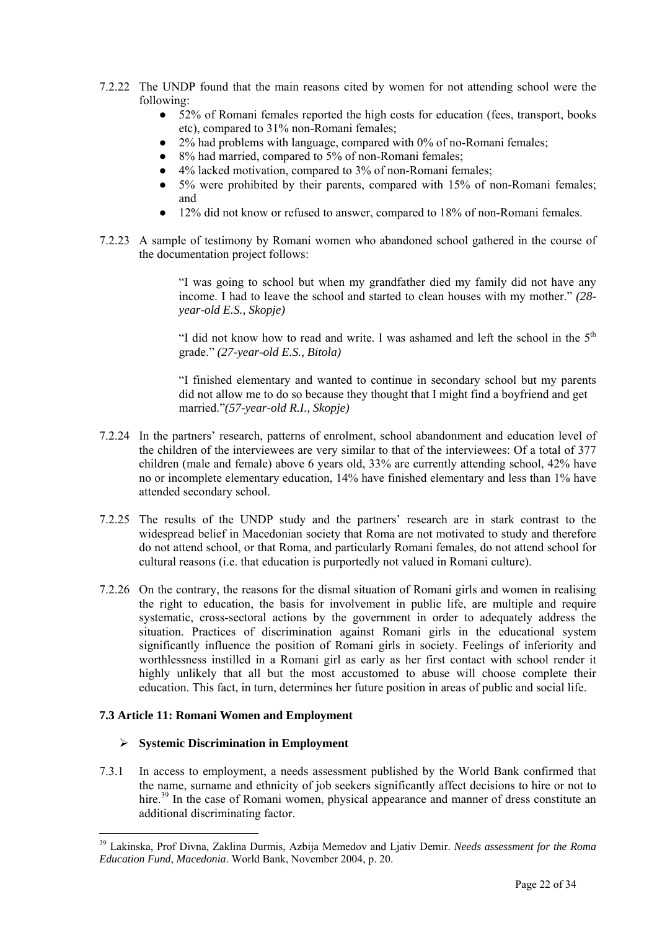- 7.2.22 The UNDP found that the main reasons cited by women for not attending school were the following:
	- 52% of Romani females reported the high costs for education (fees, transport, books etc), compared to 31% non-Romani females;
	- $2\%$  had problems with language, compared with 0% of no-Romani females;
	- 8% had married, compared to 5% of non-Romani females;
	- 4% lacked motivation, compared to 3% of non-Romani females;
	- 5% were prohibited by their parents, compared with 15% of non-Romani females; and
	- 12% did not know or refused to answer, compared to 18% of non-Romani females.
- 7.2.23 A sample of testimony by Romani women who abandoned school gathered in the course of the documentation project follows:

"I was going to school but when my grandfather died my family did not have any income. I had to leave the school and started to clean houses with my mother." *(28 year-old E.S., Skopje)* 

"I did not know how to read and write. I was ashamed and left the school in the  $5<sup>th</sup>$ grade." *(27-year-old E.S., Bitola)* 

"I finished elementary and wanted to continue in secondary school but my parents did not allow me to do so because they thought that I might find a boyfriend and get married."*(57-year-old R.I., Skopje)* 

- 7.2.24 In the partners' research, patterns of enrolment, school abandonment and education level of the children of the interviewees are very similar to that of the interviewees: Of a total of 377 children (male and female) above 6 years old, 33% are currently attending school, 42% have no or incomplete elementary education, 14% have finished elementary and less than 1% have attended secondary school.
- 7.2.25 The results of the UNDP study and the partners' research are in stark contrast to the widespread belief in Macedonian society that Roma are not motivated to study and therefore do not attend school, or that Roma, and particularly Romani females, do not attend school for cultural reasons (i.e. that education is purportedly not valued in Romani culture).
- 7.2.26 On the contrary, the reasons for the dismal situation of Romani girls and women in realising the right to education, the basis for involvement in public life, are multiple and require systematic, cross-sectoral actions by the government in order to adequately address the situation. Practices of discrimination against Romani girls in the educational system significantly influence the position of Romani girls in society. Feelings of inferiority and worthlessness instilled in a Romani girl as early as her first contact with school render it highly unlikely that all but the most accustomed to abuse will choose complete their education. This fact, in turn, determines her future position in areas of public and social life.

#### **7.3 Article 11: Romani Women and Employment**

 $\overline{a}$ 

#### ¾ **Systemic Discrimination in Employment**

7.3.1 In access to employment, a needs assessment published by the World Bank confirmed that the name, surname and ethnicity of job seekers significantly affect decisions to hire or not to hire.<sup>39</sup> In the case of Romani women, physical appearance and manner of dress constitute an additional discriminating factor.

<span id="page-21-0"></span><sup>39</sup> Lakinska, Prof Divna, Zaklina Durmis, Azbija Memedov and Ljativ Demir. *Needs assessment for the Roma Education Fund*, *Macedonia*. World Bank, November 2004, p. 20.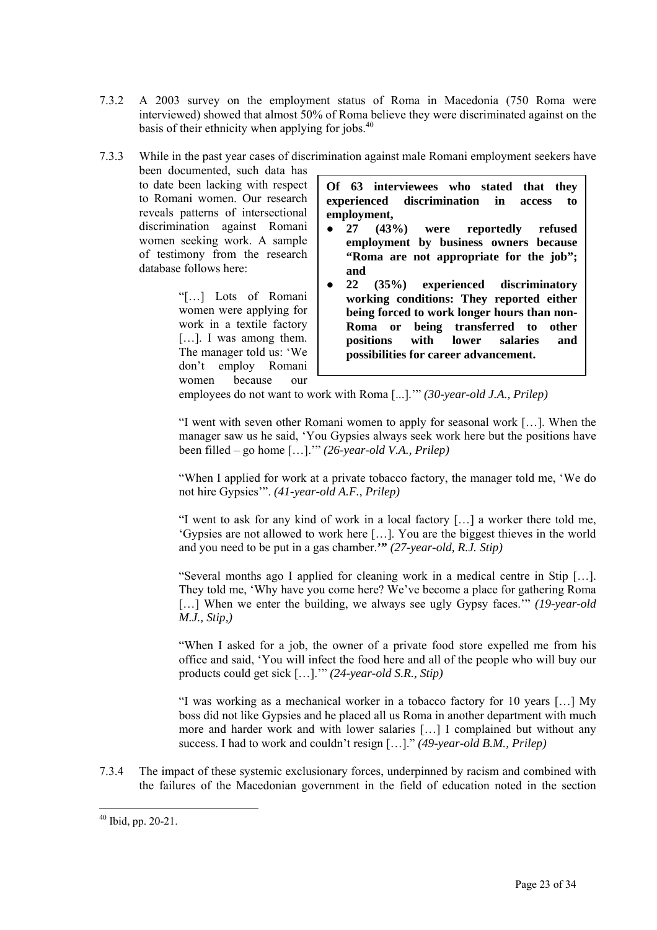- 7.3.2 A 2003 survey on the employment status of Roma in Macedonia (750 Roma were interviewed) showed that almost 50% of Roma believe they were discriminated against on the basis of their ethnicity when applying for jobs.<sup>40</sup>
- 7.3.3 While in the past year cases of discrimination against male Romani employment seekers have

been documented, such data has to date been lacking with respect to Romani women. Our research reveals patterns of intersectional discrimination against Romani women seeking work. A sample of testimony from the research database follows here:

> "[…] Lots of Romani women were applying for work in a textile factory [...]. I was among them. The manager told us: 'We don't employ Romani women because our

**Of 63 interviewees who stated that they experienced discrimination in access to employment,** 

- **27 (43%) were reportedly refused employment by business owners because "Roma are not appropriate for the job"; and**
- **22 (35%) experienced discriminatory working conditions: They reported either being forced to work longer hours than non-Roma or being transferred to other positions with lower salaries and possibilities for career advancement.**

employees do not want to work with Roma [...].'" *(30-year-old J.A., Prilep)* 

"I went with seven other Romani women to apply for seasonal work […]. When the manager saw us he said, 'You Gypsies always seek work here but the positions have been filled – go home […].'" *(26-year-old V.A., Prilep)* 

"When I applied for work at a private tobacco factory, the manager told me, 'We do not hire Gypsies'". *(41-year-old A.F., Prilep)* 

"I went to ask for any kind of work in a local factory […] a worker there told me, 'Gypsies are not allowed to work here […]. You are the biggest thieves in the world and you need to be put in a gas chamber.**'"** *(27-year-old, R.J. Stip)*

"Several months ago I applied for cleaning work in a medical centre in Stip […]. They told me, 'Why have you come here? We've become a place for gathering Roma [...] When we enter the building, we always see ugly Gypsy faces.'" *(19-year-old M.J., Stip,)* 

"When I asked for a job, the owner of a private food store expelled me from his office and said, 'You will infect the food here and all of the people who will buy our products could get sick […].'" *(24-year-old S.R., Stip)*

"I was working as a mechanical worker in a tobacco factory for 10 years […] My boss did not like Gypsies and he placed all us Roma in another department with much more and harder work and with lower salaries […] I complained but without any success. I had to work and couldn't resign […]." *(49-year-old B.M., Prilep)*

7.3.4 The impact of these systemic exclusionary forces, underpinned by racism and combined with the failures of the Macedonian government in the field of education noted in the section

<span id="page-22-0"></span> $40$  Ibid, pp. 20-21.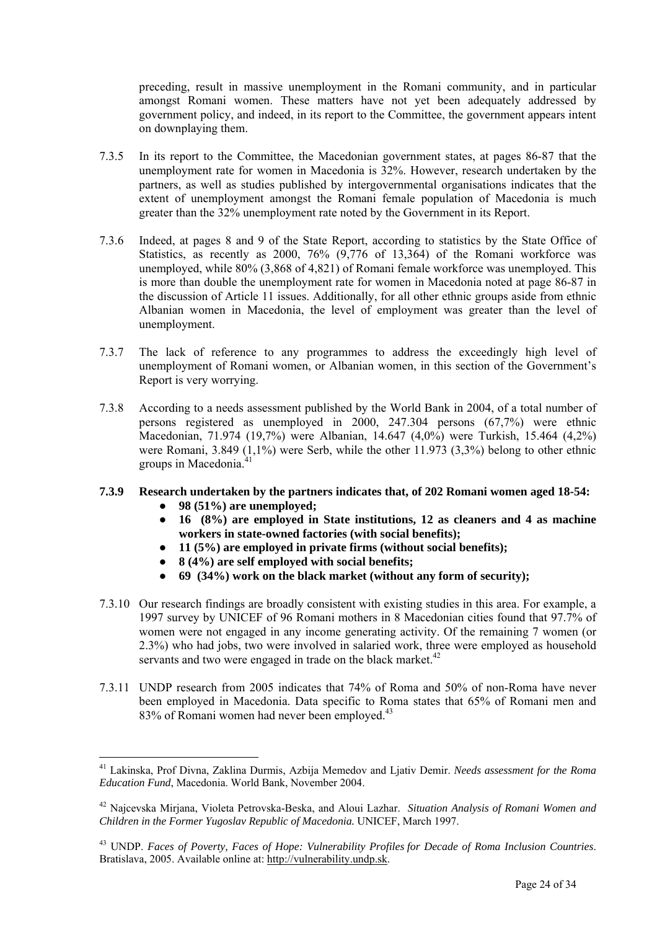preceding, result in massive unemployment in the Romani community, and in particular amongst Romani women. These matters have not yet been adequately addressed by government policy, and indeed, in its report to the Committee, the government appears intent on downplaying them.

- 7.3.5 In its report to the Committee, the Macedonian government states, at pages 86-87 that the unemployment rate for women in Macedonia is 32%. However, research undertaken by the partners, as well as studies published by intergovernmental organisations indicates that the extent of unemployment amongst the Romani female population of Macedonia is much greater than the 32% unemployment rate noted by the Government in its Report.
- 7.3.6 Indeed, at pages 8 and 9 of the State Report, according to statistics by the State Office of Statistics, as recently as 2000, 76% (9,776 of 13,364) of the Romani workforce was unemployed, while 80% (3,868 of 4,821) of Romani female workforce was unemployed. This is more than double the unemployment rate for women in Macedonia noted at page 86-87 in the discussion of Article 11 issues. Additionally, for all other ethnic groups aside from ethnic Albanian women in Macedonia, the level of employment was greater than the level of unemployment.
- 7.3.7 The lack of reference to any programmes to address the exceedingly high level of unemployment of Romani women, or Albanian women, in this section of the Government's Report is very worrying.
- 7.3.8 According to a needs assessment published by the World Bank in 2004, of a total number of persons registered as unemployed in 2000, 247.304 persons (67,7%) were ethnic Macedonian, 71.974 (19,7%) were Albanian, 14.647 (4,0%) were Turkish, 15.464 (4,2%) were Romani, 3.849 (1,1%) were Serb, while the other 11.973 (3,3%) belong to other ethnic groups in Macedonia.<sup>41</sup>
- **7.3.9 Research undertaken by the partners indicates that, of 202 Romani women aged 18-54:** 
	- **98 (51%) are unemployed;**

- **16 (8%) are employed in State institutions, 12 as cleaners and 4 as machine workers in state-owned factories (with social benefits);**
- **11 (5%) are employed in private firms (without social benefits);**
- **8 (4%) are self employed with social benefits;**
- **69 (34%) work on the black market (without any form of security);**
- 7.3.10 Our research findings are broadly consistent with existing studies in this area. For example, a 1997 survey by UNICEF of 96 Romani mothers in 8 Macedonian cities found that 97.7% of women were not engaged in any income generating activity. Of the remaining 7 women (or 2.3%) who had jobs, two were involved in salaried work, three were employed as household servants and two were engaged in trade on the black market.<sup>42</sup>
- 7.3.11 UNDP research from 2005 indicates that 74% of Roma and 50% of non-Roma have never been employed in Macedonia. Data specific to Roma states that 65% of Romani men and 83% of Romani women had never been employed.<sup>43</sup>

<span id="page-23-0"></span><sup>41</sup> Lakinska, Prof Divna, Zaklina Durmis, Azbija Memedov and Ljativ Demir. *Needs assessment for the Roma Education Fund*, Macedonia. World Bank, November 2004.

<span id="page-23-1"></span><sup>42</sup> Najcevska Mirjana, Violeta Petrovska-Beska, and Aloui Lazhar. *Situation Analysis of Romani Women and Children in the Former Yugoslav Republic of Macedonia.* UNICEF, March 1997.

<span id="page-23-2"></span><sup>43</sup> UNDP. *Faces of Poverty, Faces of Hope: Vulnerability Profiles for Decade of Roma Inclusion Countries*. Bratislava, 2005. Available online at: [http://vulnerability.undp.sk.](http://vulnerability.undp.sk/)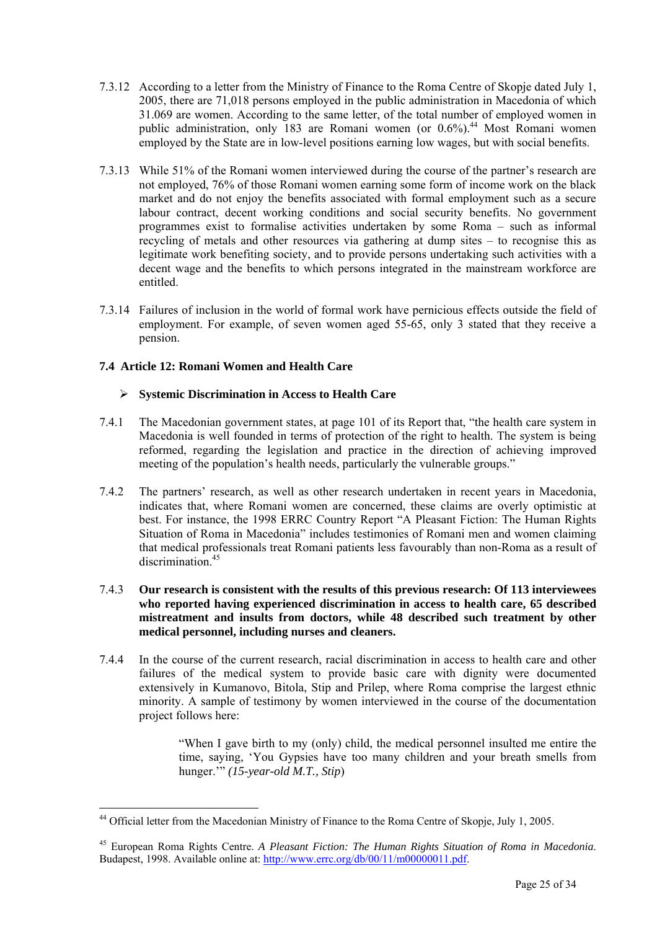- 7.3.12 According to a letter from the Ministry of Finance to the Roma Centre of Skopje dated July 1, 2005, there are 71,018 persons employed in the public administration in Macedonia of which 31.069 are women. According to the same letter, of the total number of employed women in public administration, only 183 are Romani women (or  $0.6\%$ ).<sup>44</sup> Most Romani women employed by the State are in low-level positions earning low wages, but with social benefits.
- 7.3.13 While 51% of the Romani women interviewed during the course of the partner's research are not employed, 76% of those Romani women earning some form of income work on the black market and do not enjoy the benefits associated with formal employment such as a secure labour contract, decent working conditions and social security benefits. No government programmes exist to formalise activities undertaken by some Roma – such as informal recycling of metals and other resources via gathering at dump sites – to recognise this as legitimate work benefiting society, and to provide persons undertaking such activities with a decent wage and the benefits to which persons integrated in the mainstream workforce are entitled.
- 7.3.14 Failures of inclusion in the world of formal work have pernicious effects outside the field of employment. For example, of seven women aged 55-65, only 3 stated that they receive a pension.

# **7.4 Article 12: Romani Women and Health Care**

 $\overline{a}$ 

#### ¾ **Systemic Discrimination in Access to Health Care**

- 7.4.1 The Macedonian government states, at page 101 of its Report that, "the health care system in Macedonia is well founded in terms of protection of the right to health. The system is being reformed, regarding the legislation and practice in the direction of achieving improved meeting of the population's health needs, particularly the vulnerable groups."
- 7.4.2 The partners' research, as well as other research undertaken in recent years in Macedonia, indicates that, where Romani women are concerned, these claims are overly optimistic at best. For instance, the 1998 ERRC Country Report "A Pleasant Fiction: The Human Rights Situation of Roma in Macedonia" includes testimonies of Romani men and women claiming that medical professionals treat Romani patients less favourably than non-Roma as a result of discrimination.<sup>45</sup>
- 7.4.3 **Our research is consistent with the results of this previous research: Of 113 interviewees who reported having experienced discrimination in access to health care, 65 described mistreatment and insults from doctors, while 48 described such treatment by other medical personnel, including nurses and cleaners.**
- 7.4.4 In the course of the current research, racial discrimination in access to health care and other failures of the medical system to provide basic care with dignity were documented extensively in Kumanovo, Bitola, Stip and Prilep, where Roma comprise the largest ethnic minority. A sample of testimony by women interviewed in the course of the documentation project follows here:

"When I gave birth to my (only) child, the medical personnel insulted me entire the time, saying, 'You Gypsies have too many children and your breath smells from hunger.'" *(15-year-old M.T., Stip*)

<span id="page-24-0"></span><sup>44</sup> Official letter from the Macedonian Ministry of Finance to the Roma Centre of Skopje, July 1, 2005.

<span id="page-24-1"></span><sup>45</sup> European Roma Rights Centre. *A Pleasant Fiction: The Human Rights Situation of Roma in Macedonia*. Budapest, 1998. Available online at: [http://www.errc.org/db/00/11/m00000011.pdf.](http://www.errc.org/db/00/11/m00000011.pdf)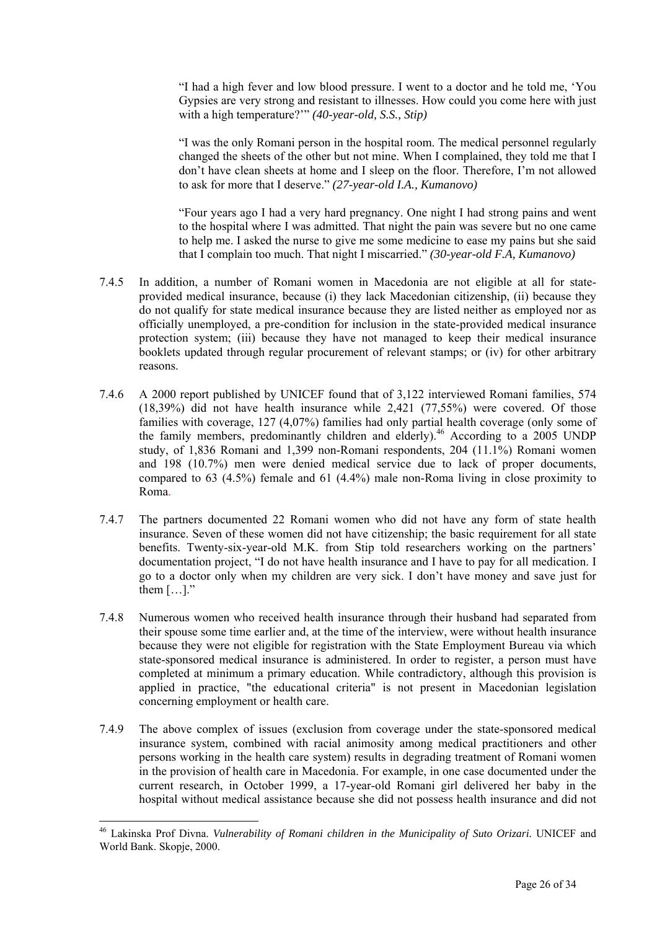"I had a high fever and low blood pressure. I went to a doctor and he told me, 'You Gypsies are very strong and resistant to illnesses. How could you come here with just with a high temperature?'" *(40-year-old, S.S., Stip)* 

"I was the only Romani person in the hospital room. The medical personnel regularly changed the sheets of the other but not mine. When I complained, they told me that I don't have clean sheets at home and I sleep on the floor. Therefore, I'm not allowed to ask for more that I deserve." *(27-year-old I.A., Kumanovo)* 

"Four years ago I had a very hard pregnancy. One night I had strong pains and went to the hospital where I was admitted. That night the pain was severe but no one came to help me. I asked the nurse to give me some medicine to ease my pains but she said that I complain too much. That night I miscarried." *(30-year-old F.A, Kumanovo)* 

- 7.4.5 In addition, a number of Romani women in Macedonia are not eligible at all for stateprovided medical insurance, because (i) they lack Macedonian citizenship, (ii) because they do not qualify for state medical insurance because they are listed neither as employed nor as officially unemployed, a pre-condition for inclusion in the state-provided medical insurance protection system; (iii) because they have not managed to keep their medical insurance booklets updated through regular procurement of relevant stamps; or (iv) for other arbitrary reasons.
- 7.4.6 A 2000 report published by UNICEF found that of 3,122 interviewed Romani families, 574 (18,39%) did not have health insurance while 2,421 (77,55%) were covered. Of those families with coverage, 127 (4,07%) families had only partial health coverage (only some of the family members, predominantly children and elderly).<sup>46</sup> According to a  $2005$  UNDP study, of 1,836 Romani and 1,399 non-Romani respondents, 204 (11.1%) Romani women and 198 (10.7%) men were denied medical service due to lack of proper documents, compared to 63 (4.5%) female and 61 (4.4%) male non-Roma living in close proximity to Roma.
- 7.4.7 The partners documented 22 Romani women who did not have any form of state health insurance. Seven of these women did not have citizenship; the basic requirement for all state benefits. Twenty-six-year-old M.K. from Stip told researchers working on the partners' documentation project, "I do not have health insurance and I have to pay for all medication. I go to a doctor only when my children are very sick. I don't have money and save just for them  $[...]$ "
- 7.4.8 Numerous women who received health insurance through their husband had separated from their spouse some time earlier and, at the time of the interview, were without health insurance because they were not eligible for registration with the State Employment Bureau via which state-sponsored medical insurance is administered. In order to register, a person must have completed at minimum a primary education. While contradictory, although this provision is applied in practice, "the educational criteria" is not present in Macedonian legislation concerning employment or health care.
- 7.4.9 The above complex of issues (exclusion from coverage under the state-sponsored medical insurance system, combined with racial animosity among medical practitioners and other persons working in the health care system) results in degrading treatment of Romani women in the provision of health care in Macedonia. For example, in one case documented under the current research, in October 1999, a 17-year-old Romani girl delivered her baby in the hospital without medical assistance because she did not possess health insurance and did not

<span id="page-25-0"></span><sup>46</sup> Lakinska Prof Divna. *Vulnerability of Romani children in the Municipality of Suto Orizari.* UNICEF and World Bank. Skopje, 2000.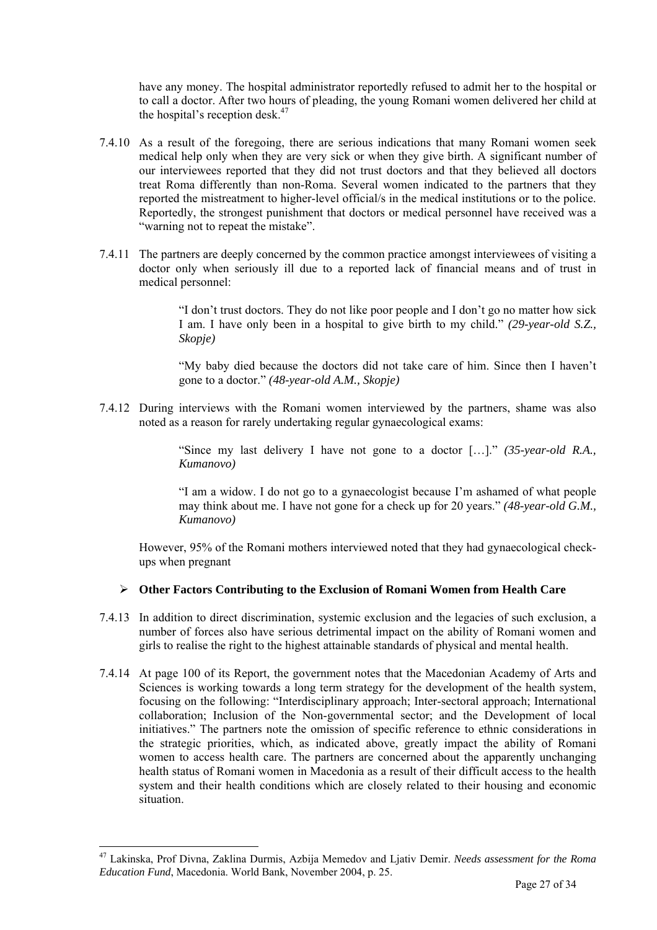have any money. The hospital administrator reportedly refused to admit her to the hospital or to call a doctor. After two hours of pleading, the young Romani women delivered her child at the hospital's reception desk.<sup>[47](#page-26-0)</sup>

- 7.4.10 As a result of the foregoing, there are serious indications that many Romani women seek medical help only when they are very sick or when they give birth. A significant number of our interviewees reported that they did not trust doctors and that they believed all doctors treat Roma differently than non-Roma. Several women indicated to the partners that they reported the mistreatment to higher-level official/s in the medical institutions or to the police. Reportedly, the strongest punishment that doctors or medical personnel have received was a "warning not to repeat the mistake".
- 7.4.11 The partners are deeply concerned by the common practice amongst interviewees of visiting a doctor only when seriously ill due to a reported lack of financial means and of trust in medical personnel:

"I don't trust doctors. They do not like poor people and I don't go no matter how sick I am. I have only been in a hospital to give birth to my child." *(29-year-old S.Z., Skopje)* 

"My baby died because the doctors did not take care of him. Since then I haven't gone to a doctor." *(48-year-old A.M., Skopje)* 

7.4.12 During interviews with the Romani women interviewed by the partners, shame was also noted as a reason for rarely undertaking regular gynaecological exams:

> "Since my last delivery I have not gone to a doctor […]." *(35-year-old R.A., Kumanovo)*

> "I am a widow. I do not go to a gynaecologist because I'm ashamed of what people may think about me. I have not gone for a check up for 20 years." *(48-year-old G.M., Kumanovo)*

However, 95% of the Romani mothers interviewed noted that they had gynaecological checkups when pregnant

#### ¾ **Other Factors Contributing to the Exclusion of Romani Women from Health Care**

- 7.4.13 In addition to direct discrimination, systemic exclusion and the legacies of such exclusion, a number of forces also have serious detrimental impact on the ability of Romani women and girls to realise the right to the highest attainable standards of physical and mental health.
- 7.4.14 At page 100 of its Report, the government notes that the Macedonian Academy of Arts and Sciences is working towards a long term strategy for the development of the health system, focusing on the following: "Interdisciplinary approach; Inter-sectoral approach; International collaboration; Inclusion of the Non-governmental sector; and the Development of local initiatives." The partners note the omission of specific reference to ethnic considerations in the strategic priorities, which, as indicated above, greatly impact the ability of Romani women to access health care. The partners are concerned about the apparently unchanging health status of Romani women in Macedonia as a result of their difficult access to the health system and their health conditions which are closely related to their housing and economic situation.

<span id="page-26-0"></span><sup>47</sup> Lakinska, Prof Divna, Zaklina Durmis, Azbija Memedov and Ljativ Demir. *Needs assessment for the Roma Education Fund*, Macedonia. World Bank, November 2004, p. 25.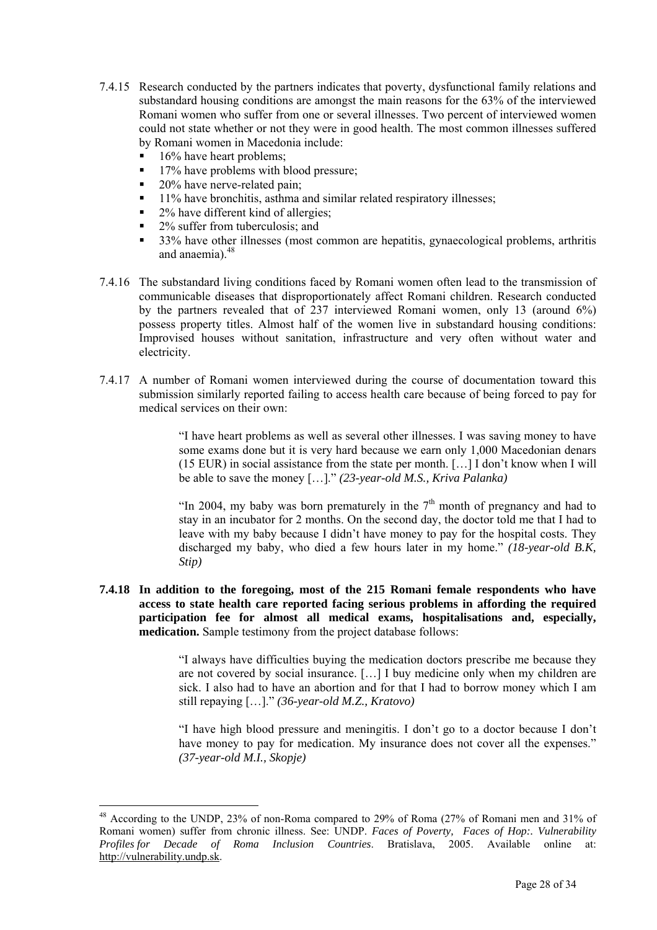- 7.4.15 Research conducted by the partners indicates that poverty, dysfunctional family relations and substandard housing conditions are amongst the main reasons for the 63% of the interviewed Romani women who suffer from one or several illnesses. Two percent of interviewed women could not state whether or not they were in good health. The most common illnesses suffered by Romani women in Macedonia include:
	- 16% have heart problems;

 $\overline{a}$ 

- $\blacksquare$  17% have problems with blood pressure;
- 20% have nerve-related pain;
- 11% have bronchitis, asthma and similar related respiratory illnesses;
- 2% have different kind of allergies;
- 2% suffer from tuberculosis; and
- 33% have other illnesses (most common are hepatitis, gynaecological problems, arthritis and anaemia).<sup>[48](#page-27-0)</sup>
- 7.4.16 The substandard living conditions faced by Romani women often lead to the transmission of communicable diseases that disproportionately affect Romani children. Research conducted by the partners revealed that of 237 interviewed Romani women, only 13 (around 6%) possess property titles. Almost half of the women live in substandard housing conditions: Improvised houses without sanitation, infrastructure and very often without water and electricity.
- 7.4.17 A number of Romani women interviewed during the course of documentation toward this submission similarly reported failing to access health care because of being forced to pay for medical services on their own:

"I have heart problems as well as several other illnesses. I was saving money to have some exams done but it is very hard because we earn only 1,000 Macedonian denars (15 EUR) in social assistance from the state per month. […] I don't know when I will be able to save the money […]." *(23-year-old M.S., Kriva Palanka)*

"In 2004, my baby was born prematurely in the  $7<sup>th</sup>$  month of pregnancy and had to stay in an incubator for 2 months. On the second day, the doctor told me that I had to leave with my baby because I didn't have money to pay for the hospital costs. They discharged my baby, who died a few hours later in my home." *(18-year-old B.K, Stip)* 

**7.4.18 In addition to the foregoing, most of the 215 Romani female respondents who have access to state health care reported facing serious problems in affording the required participation fee for almost all medical exams, hospitalisations and, especially, medication.** Sample testimony from the project database follows:

> "I always have difficulties buying the medication doctors prescribe me because they are not covered by social insurance. […] I buy medicine only when my children are sick. I also had to have an abortion and for that I had to borrow money which I am still repaying […]." *(36-year-old M.Z., Kratovo)*

> "I have high blood pressure and meningitis. I don't go to a doctor because I don't have money to pay for medication. My insurance does not cover all the expenses." *(37-year-old M.I., Skopje)*

<span id="page-27-0"></span><sup>48</sup> According to the UNDP, 23% of non-Roma compared to 29% of Roma (27% of Romani men and 31% of Romani women) suffer from chronic illness. See: UNDP. *Faces of Poverty, Faces of Hop:. Vulnerability Profiles for Decade of Roma Inclusion Countries*. Bratislava, 2005. Available online at: [http://vulnerability.undp.sk.](http://vulnerability.undp.sk/)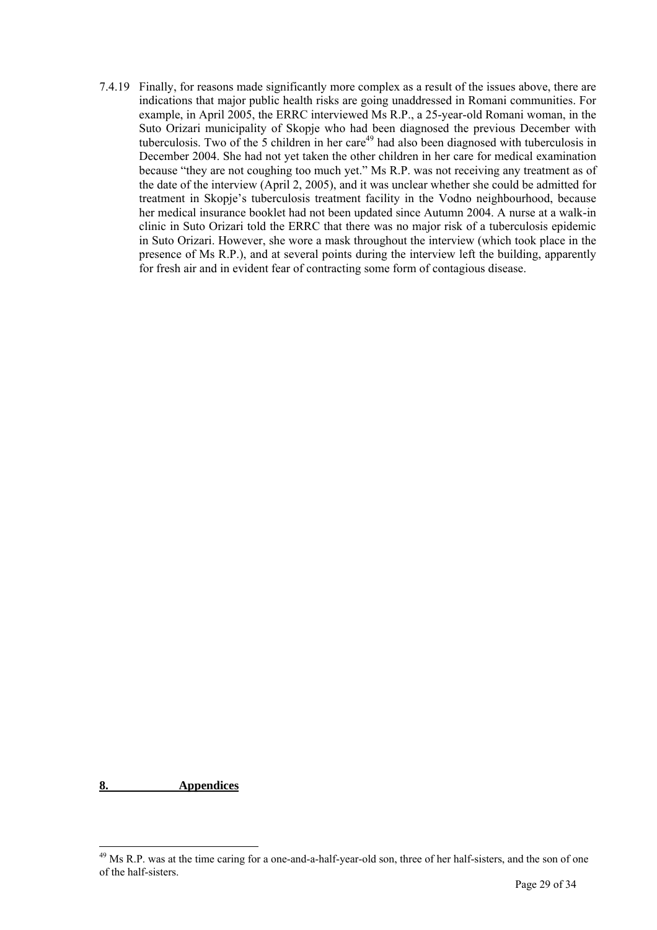7.4.19 Finally, for reasons made significantly more complex as a result of the issues above, there are indications that major public health risks are going unaddressed in Romani communities. For example, in April 2005, the ERRC interviewed Ms R.P., a 25-year-old Romani woman, in the Suto Orizari municipality of Skopje who had been diagnosed the previous December with tuberculosis. Two of the 5 children in her care<sup>49</sup> had also been diagnosed with tuberculosis in December 2004. She had not yet taken the other children in her care for medical examination because "they are not coughing too much yet." Ms R.P. was not receiving any treatment as of the date of the interview (April 2, 2005), and it was unclear whether she could be admitted for treatment in Skopje's tuberculosis treatment facility in the Vodno neighbourhood, because her medical insurance booklet had not been updated since Autumn 2004. A nurse at a walk-in clinic in Suto Orizari told the ERRC that there was no major risk of a tuberculosis epidemic in Suto Orizari. However, she wore a mask throughout the interview (which took place in the presence of Ms R.P.), and at several points during the interview left the building, apparently for fresh air and in evident fear of contracting some form of contagious disease.

**8. Appendices**

<span id="page-28-0"></span><sup>&</sup>lt;sup>49</sup> Ms R.P. was at the time caring for a one-and-a-half-year-old son, three of her half-sisters, and the son of one of the half-sisters.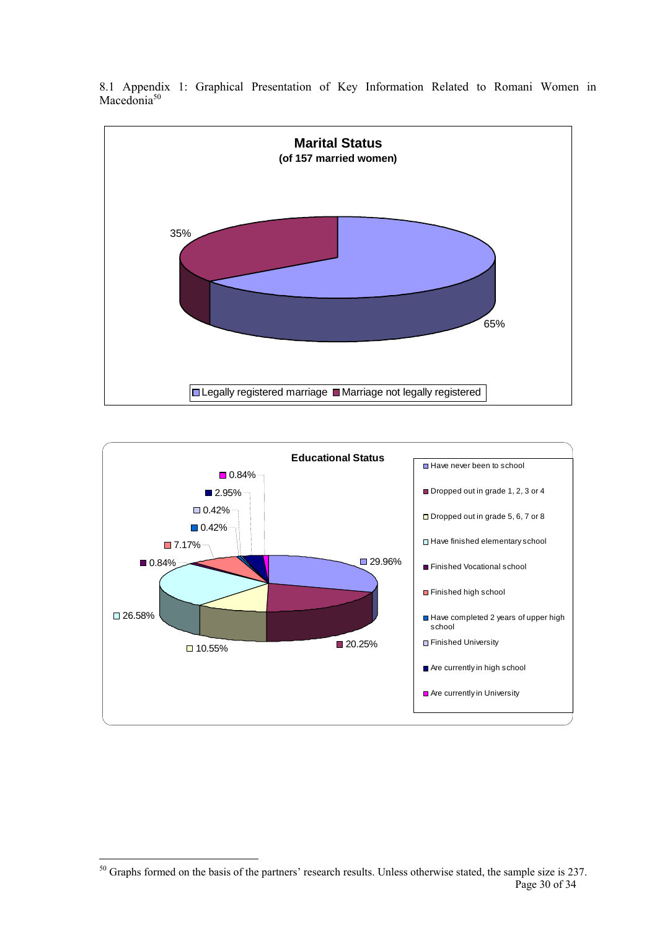

**Educational Status** ■29.96%  $\Box$  10.55%  $\Box$  20.25% □ 26.58% ■ 0.84% 7.17%  $0.42%$  $\Box$  0.42% ■2.95%  $\blacksquare$  0.84% Have never been to school Dropped out in grade 1, 2, 3 or 4 □ Dropped out in grade 5, 6, 7 or 8 Have finished elementary school Finished Vocational school Finished high school Have completed 2 years of upper high school **Finished University** Are currently in high school Are currently in University

8.1 Appendix 1: Graphical Presentation of Key Information Related to Romani Women in Macedonia<sup>50</sup>

<span id="page-29-0"></span> $\overline{a}$ Page 30 of 34  $50$  Graphs formed on the basis of the partners' research results. Unless otherwise stated, the sample size is 237.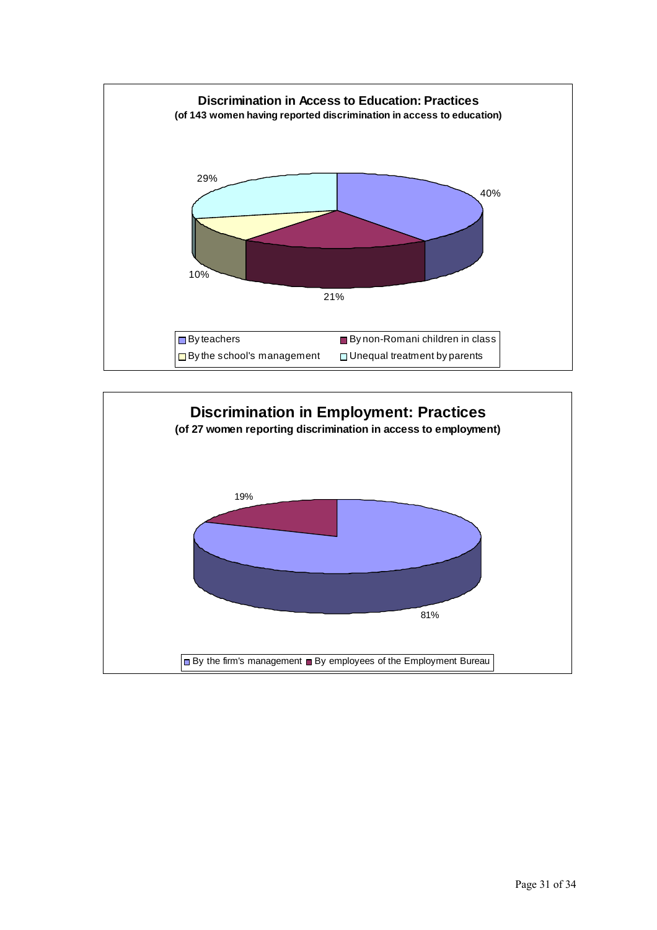

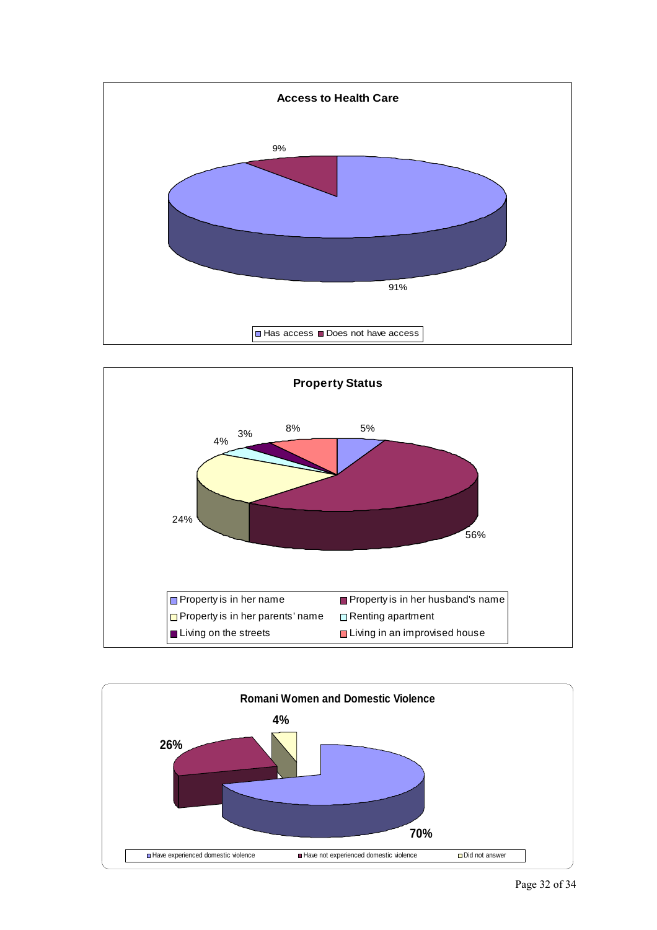



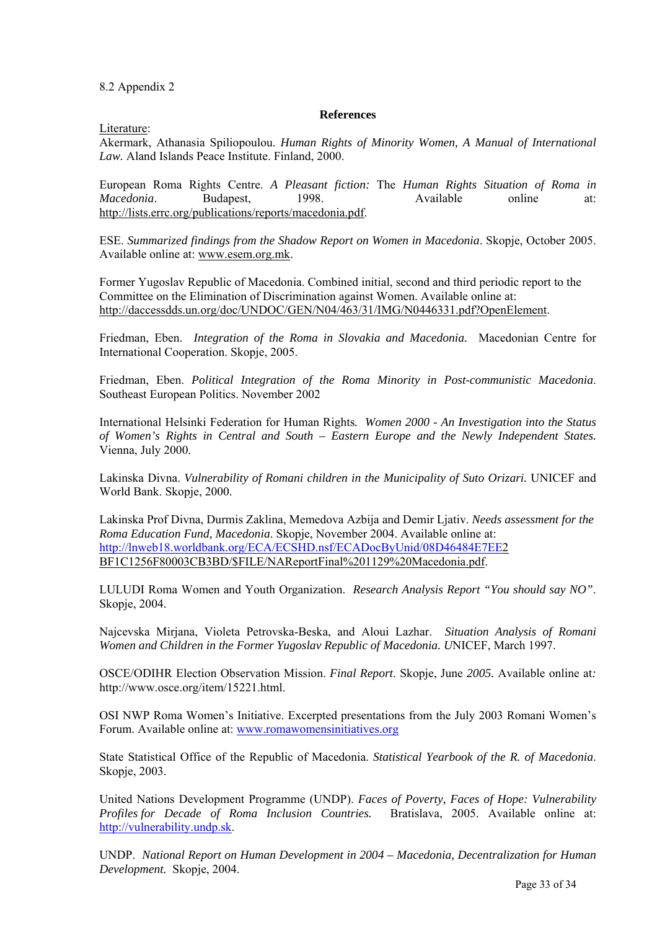8.2 Appendix 2

#### **References**

Literature:

Akermark, Athanasia Spiliopoulou. *Human Rights of Minority Women, A Manual of International Law.* Aland Islands Peace Institute. Finland, 2000.

European Roma Rights Centre. *A Pleasant fiction:* The *Human Rights Situation of Roma in Macedonia*. Budapest, 1998. Available online at: http://lists.errc.org/publications/reports/macedonia.pdf.

ESE. *Summarized findings from the Shadow Report on Women in Macedonia*. Skopje, October 2005. Available online at: www.esem.org.mk.

Former Yugoslav Republic of Macedonia. Combined initial, second and third periodic report to the Committee on the Elimination of Discrimination against Women. Available online at: http://daccessdds.un.org/doc/UNDOC/GEN/N04/463/31/IMG/N0446331.pdf?OpenElement.

Friedman, Eben. *Integration of the Roma in Slovakia and Macedonia.* Macedonian Centre for International Cooperation. Skopje, 2005.

Friedman, Eben. *Political Integration of the Roma Minority in Post-communistic Macedonia*. Southeast European Politics. November 2002

International Helsinki Federation for Human Rights*. Women 2000 - An Investigation into the Status of Women's Rights in Central and South – Eastern Europe and the Newly Independent States.*  Vienna, July 2000.

Lakinska Divna. *Vulnerability of Romani children in the Municipality of Suto Orizari.* UNICEF and World Bank. Skopje, 2000.

Lakinska Prof Divna, Durmis Zaklina, Memedova Azbija and Demir Ljativ. *Needs assessment for the Roma Education Fund, Macedonia*. Skopje, November 2004. Available online at: <http://lnweb18.worldbank.org/ECA/ECSHD.nsf/ECADocByUnid/08D46484E7EE>2 BF1C1256F80003CB3BD/\$FILE/NAReportFinal%201129%20Macedonia.pdf.

LULUDI Roma Women and Youth Organization. *Research Analysis Report "You should say NO"*. Skopje, 2004.

Najcevska Mirjana, Violeta Petrovska-Beska, and Aloui Lazhar. *Situation Analysis of Romani Women and Children in the Former Yugoslav Republic of Macedonia. U*NICEF, March 1997.

OSCE/ODIHR Election Observation Mission. *Final Report*. Skopje, June *2005.* Available online at*:*  http://www.osce.org/item/15221.html.

OSI NWP Roma Women's Initiative. Excerpted presentations from the July 2003 Romani Women's Forum. Available online at: [www.romawomensinitiatives.org](http://www.romawomensinitiatives.org/)

State Statistical Office of the Republic of Macedonia. *Statistical Yearbook of the R. of Macedonia*. Skopje, 2003.

United Nations Development Programme (UNDP). *Faces of Poverty, Faces of Hope: Vulnerability Profiles for Decade of Roma Inclusion Countries.* Bratislava, 2005. Available online at: [http://vulnerability.undp.sk.](http://vulnerability.undp.sk/)

UNDP. *National Report on Human Development in 2004 – Macedonia, Decentralization for Human Development.* Skopje, 2004.